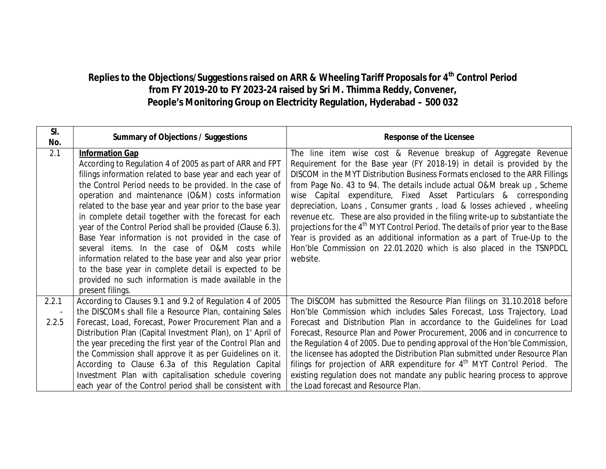## **Replies to the Objections/Suggestions raised on ARR & Wheeling Tariff Proposals for 4th Control Period from FY 2019-20 to FY 2023-24 raised by Sri M. Thimma Reddy, Convener, People's Monitoring Group on Electricity Regulation, Hyderabad – 500 032**

| SI.<br>No. | <b>Summary of Objections / Suggestions</b>                                                                                                                                                                                                                                                                                                                                                                                                                                                                                                                                                                                                                                                                                                                     | <b>Response of the Licensee</b>                                                                                                                                                                                                                                                                                                                                                                                                                                                                                                                                                                                                                                                                                                                                                                          |
|------------|----------------------------------------------------------------------------------------------------------------------------------------------------------------------------------------------------------------------------------------------------------------------------------------------------------------------------------------------------------------------------------------------------------------------------------------------------------------------------------------------------------------------------------------------------------------------------------------------------------------------------------------------------------------------------------------------------------------------------------------------------------------|----------------------------------------------------------------------------------------------------------------------------------------------------------------------------------------------------------------------------------------------------------------------------------------------------------------------------------------------------------------------------------------------------------------------------------------------------------------------------------------------------------------------------------------------------------------------------------------------------------------------------------------------------------------------------------------------------------------------------------------------------------------------------------------------------------|
| 2.1        | <b>Information Gap</b><br>According to Regulation 4 of 2005 as part of ARR and FPT<br>filings information related to base year and each year of<br>the Control Period needs to be provided. In the case of<br>operation and maintenance (O&M) costs information<br>related to the base year and year prior to the base year<br>in complete detail together with the forecast for each<br>year of the Control Period shall be provided (Clause 6.3).<br>Base Year information is not provided in the case of<br>several items. In the case of O&M costs while<br>information related to the base year and also year prior<br>to the base year in complete detail is expected to be<br>provided no such information is made available in the<br>present filings. | The line item wise cost & Revenue breakup of Aggregate Revenue<br>Requirement for the Base year (FY 2018-19) in detail is provided by the<br>DISCOM in the MYT Distribution Business Formats enclosed to the ARR Fillings<br>from Page No. 43 to 94. The details include actual O&M break up, Scheme<br>wise Capital expenditure, Fixed Asset Particulars & corresponding<br>depreciation, Loans, Consumer grants, load & losses achieved, wheeling<br>revenue etc. These are also provided in the filing write-up to substantiate the<br>projections for the 4 <sup>th</sup> MYT Control Period. The details of prior year to the Base<br>Year is provided as an additional information as a part of True-Up to the<br>Hon'ble Commission on 22.01.2020 which is also placed in the TSNPDCL<br>website. |
| 2.2.1      | According to Clauses 9.1 and 9.2 of Regulation 4 of 2005<br>the DISCOMs shall file a Resource Plan, containing Sales                                                                                                                                                                                                                                                                                                                                                                                                                                                                                                                                                                                                                                           | The DISCOM has submitted the Resource Plan filings on 31.10.2018 before<br>Hon'ble Commission which includes Sales Forecast, Loss Trajectory, Load                                                                                                                                                                                                                                                                                                                                                                                                                                                                                                                                                                                                                                                       |
| 2.2.5      | Forecast, Load, Forecast, Power Procurement Plan and a<br>Distribution Plan (Capital Investment Plan), on 1' April of<br>the year preceding the first year of the Control Plan and<br>the Commission shall approve it as per Guidelines on it.<br>According to Clause 6.3a of this Regulation Capital<br>Investment Plan with capitalisation schedule covering<br>each year of the Control period shall be consistent with                                                                                                                                                                                                                                                                                                                                     | Forecast and Distribution Plan in accordance to the Guidelines for Load<br>Forecast, Resource Plan and Power Procurement, 2006 and in concurrence to<br>the Regulation 4 of 2005. Due to pending approval of the Hon'ble Commission,<br>the licensee has adopted the Distribution Plan submitted under Resource Plan<br>filings for projection of ARR expenditure for 4 <sup>th</sup> MYT Control Period. The<br>existing regulation does not mandate any public hearing process to approve<br>the Load forecast and Resource Plan.                                                                                                                                                                                                                                                                      |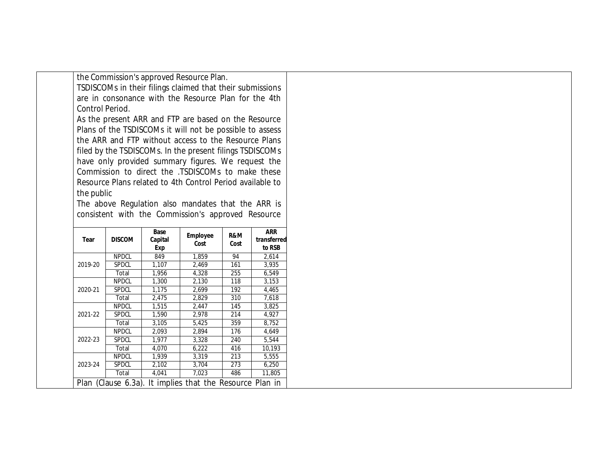the Commission's approved Resource Plan.

TSDISCOMs in their filings claimed that their submissions are in consonance with the Resource Plan for the 4th Control Period.

As the present ARR and FTP are based on the Resource Plans of the TSDISCOMs it will not be possible to assess the ARR and FTP without access to the Resource Plans filed by the TSDISCOMs. In the present filings TSDISCOMs have only provided summary figures. We request the Commission to direct the .TSDISCOMs to make these Resource Plans related to 4th Control Period available to the public

The above Regulation also mandates that the ARR is consistent with the Commission's approved Resource

| Tear    | <b>DISCOM</b> | Base<br>Capital<br>Exp | <b>Employee</b><br>Cost                                  | R&M<br>Cost | <b>ARR</b><br>transferred<br>to RSB |
|---------|---------------|------------------------|----------------------------------------------------------|-------------|-------------------------------------|
|         | <b>NPDCL</b>  | 849                    | 1.859                                                    | 94          | 2,614                               |
| 2019-20 | <b>SPDCL</b>  | 1,107                  | 2,469                                                    | 161         | 3,935                               |
|         | Total         | 1.956                  | 4.328                                                    | 255         | 6,549                               |
|         | <b>NPDCL</b>  | 1,300                  | 2,130                                                    | 118         | 3,153                               |
| 2020-21 | <b>SPDCL</b>  | 1,175                  | 2,699                                                    | 192         | 4,465                               |
|         | Total         | 2,475                  | 2,829                                                    | 310         | 7,618                               |
|         | <b>NPDCL</b>  | 1,515                  | 2,447                                                    | 145         | 3,825                               |
| 2021-22 | <b>SPDCL</b>  | 1,590                  | 2,978                                                    | 214         | 4,927                               |
|         | Total         | 3,105                  | 5,425                                                    | 359         | 8,752                               |
|         | <b>NPDCL</b>  | 2,093                  | 2,894                                                    | 176         | 4,649                               |
| 2022-23 | SPDCL         | 1.977                  | 3,328                                                    | 240         | 5.544                               |
|         | Total         | 4.070                  | 6.222                                                    | 416         | 10,193                              |
|         | <b>NPDCL</b>  | 1,939                  | 3,319                                                    | 213         | 5,555                               |
| 2023-24 | <b>SPDCL</b>  | 2,102                  | 3,704                                                    | 273         | 6,250                               |
|         | Total         | 4,041                  | 7,023                                                    | 486         | 11,805                              |
|         |               |                        | Plan (Clause 6.3a). It implies that the Resource Plan in |             |                                     |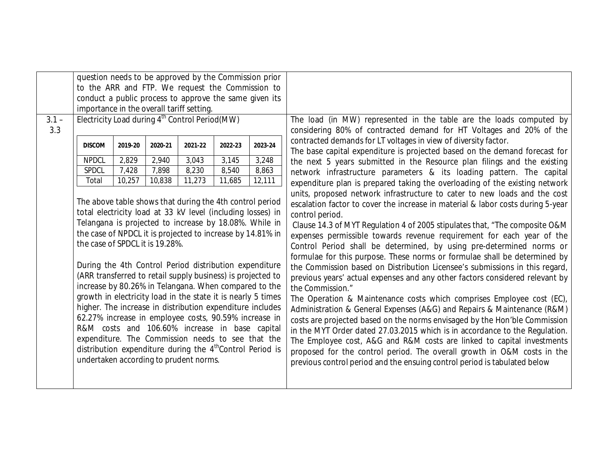|                | question needs to be approved by the Commission prior<br>to the ARR and FTP. We request the Commission to                                                                                                                                                                                                                                                                                                                                                                                                                                                                                                                                                                                                                                                                                                                                                                            |                 |                 |                 |                 |                 |                                                                                                                                                                                                                                                                                                                                                                                                                                                                                                                                                                                                                                                                                                                                                                                                                                                                                                                                                                                                                                                                                                                                                                                                                                                                                                                   |
|----------------|--------------------------------------------------------------------------------------------------------------------------------------------------------------------------------------------------------------------------------------------------------------------------------------------------------------------------------------------------------------------------------------------------------------------------------------------------------------------------------------------------------------------------------------------------------------------------------------------------------------------------------------------------------------------------------------------------------------------------------------------------------------------------------------------------------------------------------------------------------------------------------------|-----------------|-----------------|-----------------|-----------------|-----------------|-------------------------------------------------------------------------------------------------------------------------------------------------------------------------------------------------------------------------------------------------------------------------------------------------------------------------------------------------------------------------------------------------------------------------------------------------------------------------------------------------------------------------------------------------------------------------------------------------------------------------------------------------------------------------------------------------------------------------------------------------------------------------------------------------------------------------------------------------------------------------------------------------------------------------------------------------------------------------------------------------------------------------------------------------------------------------------------------------------------------------------------------------------------------------------------------------------------------------------------------------------------------------------------------------------------------|
|                | conduct a public process to approve the same given its<br>importance in the overall tariff setting.                                                                                                                                                                                                                                                                                                                                                                                                                                                                                                                                                                                                                                                                                                                                                                                  |                 |                 |                 |                 |                 |                                                                                                                                                                                                                                                                                                                                                                                                                                                                                                                                                                                                                                                                                                                                                                                                                                                                                                                                                                                                                                                                                                                                                                                                                                                                                                                   |
| $3.1 -$<br>3.3 | Electricity Load during 4 <sup>th</sup> Control Period(MW)                                                                                                                                                                                                                                                                                                                                                                                                                                                                                                                                                                                                                                                                                                                                                                                                                           |                 |                 |                 |                 |                 | The load (in MW) represented in the table are the loads computed by<br>considering 80% of contracted demand for HT Voltages and 20% of the                                                                                                                                                                                                                                                                                                                                                                                                                                                                                                                                                                                                                                                                                                                                                                                                                                                                                                                                                                                                                                                                                                                                                                        |
|                | <b>DISCOM</b>                                                                                                                                                                                                                                                                                                                                                                                                                                                                                                                                                                                                                                                                                                                                                                                                                                                                        | 2019-20         | 2020-21         | 2021-22         | 2022-23         | 2023-24         | contracted demands for LT voltages in view of diversity factor.<br>The base capital expenditure is projected based on the demand forecast for                                                                                                                                                                                                                                                                                                                                                                                                                                                                                                                                                                                                                                                                                                                                                                                                                                                                                                                                                                                                                                                                                                                                                                     |
|                | <b>NPDCL</b>                                                                                                                                                                                                                                                                                                                                                                                                                                                                                                                                                                                                                                                                                                                                                                                                                                                                         | 2,829           | 2,940           | 3,043           | 3,145           | 3,248           | the next 5 years submitted in the Resource plan filings and the existing                                                                                                                                                                                                                                                                                                                                                                                                                                                                                                                                                                                                                                                                                                                                                                                                                                                                                                                                                                                                                                                                                                                                                                                                                                          |
|                | <b>SPDCL</b><br>Total                                                                                                                                                                                                                                                                                                                                                                                                                                                                                                                                                                                                                                                                                                                                                                                                                                                                | 7,428<br>10,257 | 7,898<br>10,838 | 8,230<br>11,273 | 8,540<br>11,685 | 8,863<br>12,111 | network infrastructure parameters & its loading pattern. The capital                                                                                                                                                                                                                                                                                                                                                                                                                                                                                                                                                                                                                                                                                                                                                                                                                                                                                                                                                                                                                                                                                                                                                                                                                                              |
|                | The above table shows that during the 4th control period<br>total electricity load at 33 kV level (including losses) in<br>Telangana is projected to increase by 18.08%. While in<br>the case of NPDCL it is projected to increase by 14.81% in<br>the case of SPDCL it is 19.28%.<br>During the 4th Control Period distribution expenditure<br>(ARR transferred to retail supply business) is projected to<br>increase by 80.26% in Telangana. When compared to the<br>growth in electricity load in the state it is nearly 5 times<br>higher. The increase in distribution expenditure includes<br>62.27% increase in employee costs, 90.59% increase in<br>R&M costs and 106.60% increase in base capital<br>expenditure. The Commission needs to see that the<br>distribution expenditure during the 4 <sup>th</sup> Control Period is<br>undertaken according to prudent norms. |                 |                 |                 |                 |                 | expenditure plan is prepared taking the overloading of the existing network<br>units, proposed network infrastructure to cater to new loads and the cost<br>escalation factor to cover the increase in material & labor costs during 5-year<br>control period.<br>Clause 14.3 of MYT Regulation 4 of 2005 stipulates that, "The composite O&M<br>expenses permissible towards revenue requirement for each year of the<br>Control Period shall be determined, by using pre-determined norms or<br>formulae for this purpose. These norms or formulae shall be determined by<br>the Commission based on Distribution Licensee's submissions in this regard,<br>previous years' actual expenses and any other factors considered relevant by<br>the Commission."<br>The Operation & Maintenance costs which comprises Employee cost (EC),<br>Administration & General Expenses (A&G) and Repairs & Maintenance (R&M)<br>costs are projected based on the norms envisaged by the Hon'ble Commission<br>in the MYT Order dated 27.03.2015 which is in accordance to the Regulation.<br>The Employee cost, A&G and R&M costs are linked to capital investments<br>proposed for the control period. The overall growth in O&M costs in the<br>previous control period and the ensuing control period is tabulated below |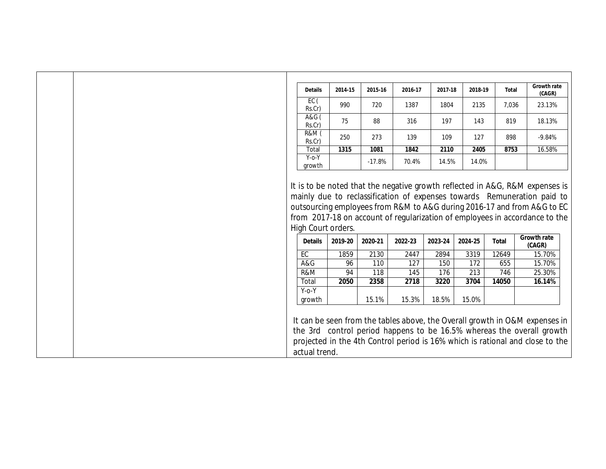| <b>Details</b>   | 2014-15 | 2015-16  | 2016-17 | 2017-18 | 2018-19 | Total | <b>Growth rate</b> |
|------------------|---------|----------|---------|---------|---------|-------|--------------------|
|                  |         |          |         |         |         |       | (CAGR)             |
| EC (             | 990     | 720      | 1387    | 1804    | 2135    | 7,036 | 23.13%             |
| Rs.Cr            |         |          |         |         |         |       |                    |
| A&G (            | 75      | 88       | 316     | 197     | 143     | 819   | 18.13%             |
| Rs.Cr)           |         |          |         |         |         |       |                    |
| <b>R&amp;M</b> ( | 250     | 273      | 139     | 109     | 127     | 898   | $-9.84%$           |
| Rs.Cr            |         |          |         |         |         |       |                    |
| Total            | 1315    | 1081     | 1842    | 2110    | 2405    | 8753  | 16.58%             |
| $Y$ -o- $Y$      |         |          |         |         |         |       |                    |
| growth           |         | $-17.8%$ | 70.4%   | 14.5%   | 14.0%   |       |                    |

It is to be noted that the negative growth reflected in A&G, R&M expenses is mainly due to reclassification of expenses towards Remuneration paid to outsourcing employees from R&M to A&G during 2016-17 and from A&G to EC from 2017-18 on account of regularization of employees in accordance to the High Court orders.

| <b>Details</b> | 2019-20 | 2020-21 | 2022-23 | 2023-24 | 2024-25 | <b>Total</b> | <b>Growth rate</b><br>(CAGR) |
|----------------|---------|---------|---------|---------|---------|--------------|------------------------------|
| EC             | 1859    | 2130    | 2447    | 2894    | 3319    | 12649        | 15.70%                       |
| A&G            | 96      | 110     | 127     | 150     | 172     | 655          | 15.70%                       |
| R&M            | 94      | 118     | 145     | 176     | 213     | 746          | 25.30%                       |
| Total          | 2050    | 2358    | 2718    | 3220    | 3704    | 14050        | 16.14%                       |
| $Y$ -O- $Y$    |         |         |         |         |         |              |                              |
| growth         |         | 15.1%   | 15.3%   | 18.5%   | 15.0%   |              |                              |

It can be seen from the tables above, the Overall growth in O&M expenses in the 3rd control period happens to be 16.5% whereas the overall growth projected in the 4th Control period is 16% which is rational and close to the actual trend.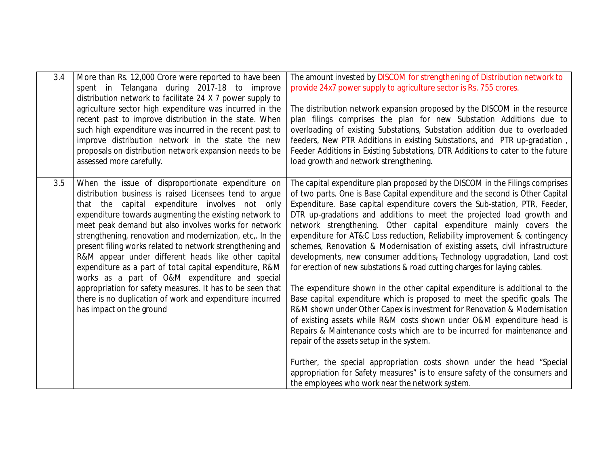| 3.4 | More than Rs. 12,000 Crore were reported to have been<br>spent in Telangana during 2017-18 to improve<br>distribution network to facilitate 24 X 7 power supply to<br>agriculture sector high expenditure was incurred in the<br>recent past to improve distribution in the state. When<br>such high expenditure was incurred in the recent past to<br>improve distribution network in the state the new<br>proposals on distribution network expansion needs to be<br>assessed more carefully.                                                                                | The amount invested by DISCOM for strengthening of Distribution network to<br>provide 24x7 power supply to agriculture sector is Rs. 755 crores.<br>The distribution network expansion proposed by the DISCOM in the resource<br>plan filings comprises the plan for new Substation Additions due to<br>overloading of existing Substations, Substation addition due to overloaded<br>feeders, New PTR Additions in existing Substations, and PTR up-gradation,<br>Feeder Additions in Existing Substations, DTR Additions to cater to the future<br>load growth and network strengthening.                                                                                                                      |
|-----|--------------------------------------------------------------------------------------------------------------------------------------------------------------------------------------------------------------------------------------------------------------------------------------------------------------------------------------------------------------------------------------------------------------------------------------------------------------------------------------------------------------------------------------------------------------------------------|------------------------------------------------------------------------------------------------------------------------------------------------------------------------------------------------------------------------------------------------------------------------------------------------------------------------------------------------------------------------------------------------------------------------------------------------------------------------------------------------------------------------------------------------------------------------------------------------------------------------------------------------------------------------------------------------------------------|
| 3.5 | When the issue of disproportionate expenditure on<br>distribution business is raised Licensees tend to arque<br>that the capital expenditure involves not only<br>expenditure towards augmenting the existing network to<br>meet peak demand but also involves works for network<br>strengthening, renovation and modernization, etc,. In the<br>present filing works related to network strengthening and<br>R&M appear under different heads like other capital<br>expenditure as a part of total capital expenditure, R&M<br>works as a part of O&M expenditure and special | The capital expenditure plan proposed by the DISCOM in the Filings comprises<br>of two parts. One is Base Capital expenditure and the second is Other Capital<br>Expenditure. Base capital expenditure covers the Sub-station, PTR, Feeder,<br>DTR up-gradations and additions to meet the projected load growth and<br>network strengthening. Other capital expenditure mainly covers the<br>expenditure for AT&C Loss reduction, Reliability improvement & contingency<br>schemes, Renovation & Modernisation of existing assets, civil infrastructure<br>developments, new consumer additions, Technology upgradation, Land cost<br>for erection of new substations & road cutting charges for laying cables. |
|     | appropriation for safety measures. It has to be seen that<br>there is no duplication of work and expenditure incurred<br>has impact on the ground                                                                                                                                                                                                                                                                                                                                                                                                                              | The expenditure shown in the other capital expenditure is additional to the<br>Base capital expenditure which is proposed to meet the specific goals. The<br>R&M shown under Other Capex is investment for Renovation & Modernisation<br>of existing assets while R&M costs shown under O&M expenditure head is<br>Repairs & Maintenance costs which are to be incurred for maintenance and<br>repair of the assets setup in the system.<br>Further, the special appropriation costs shown under the head "Special<br>appropriation for Safety measures" is to ensure safety of the consumers and<br>the employees who work near the network system.                                                             |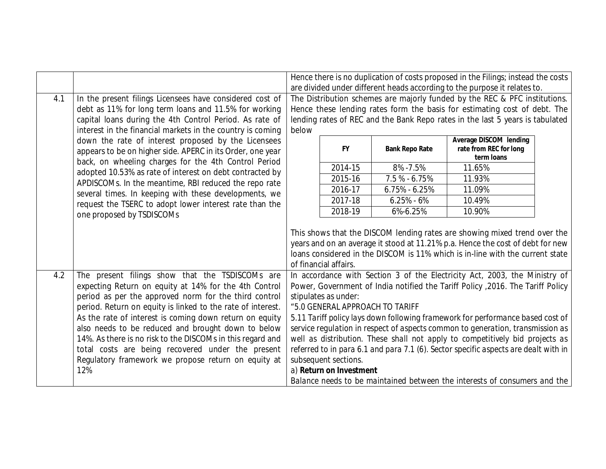|                                                                                                                                                                           |                                                                                                                                                                                                                                  |         |                                                         |                       | Hence there is no duplication of costs proposed in the Filings; instead the costs<br>are divided under different heads according to the purpose it relates to.                                                                               |  |
|---------------------------------------------------------------------------------------------------------------------------------------------------------------------------|----------------------------------------------------------------------------------------------------------------------------------------------------------------------------------------------------------------------------------|---------|---------------------------------------------------------|-----------------------|----------------------------------------------------------------------------------------------------------------------------------------------------------------------------------------------------------------------------------------------|--|
| 4.1                                                                                                                                                                       | In the present filings Licensees have considered cost of                                                                                                                                                                         |         |                                                         |                       | The Distribution schemes are majorly funded by the REC & PFC institutions.                                                                                                                                                                   |  |
|                                                                                                                                                                           | debt as 11% for long term loans and 11.5% for working                                                                                                                                                                            |         |                                                         |                       | Hence these lending rates form the basis for estimating cost of debt. The                                                                                                                                                                    |  |
|                                                                                                                                                                           | capital loans during the 4th Control Period. As rate of                                                                                                                                                                          |         |                                                         |                       | lending rates of REC and the Bank Repo rates in the last 5 years is tabulated                                                                                                                                                                |  |
|                                                                                                                                                                           | interest in the financial markets in the country is coming                                                                                                                                                                       | below   |                                                         |                       | <b>Average DISCOM lending</b>                                                                                                                                                                                                                |  |
|                                                                                                                                                                           | down the rate of interest proposed by the Licensees<br>appears to be on higher side. APERC in its Order, one year                                                                                                                |         | <b>FY</b>                                               | <b>Bank Repo Rate</b> | rate from REC for long                                                                                                                                                                                                                       |  |
|                                                                                                                                                                           | back, on wheeling charges for the 4th Control Period                                                                                                                                                                             |         |                                                         |                       | term loans                                                                                                                                                                                                                                   |  |
|                                                                                                                                                                           | adopted 10.53% as rate of interest on debt contracted by                                                                                                                                                                         |         | 2014-15                                                 | 8% - 7.5%             | 11.65%                                                                                                                                                                                                                                       |  |
| APDISCOMs. In the meantime, RBI reduced the repo rate<br>several times. In keeping with these developments, we<br>request the TSERC to adopt lower interest rate than the |                                                                                                                                                                                                                                  | 2015-16 | 7.5% - 6.75%                                            | 11.93%                |                                                                                                                                                                                                                                              |  |
|                                                                                                                                                                           |                                                                                                                                                                                                                                  | 2016-17 | $6.75\% - 6.25\%$                                       | 11.09%                |                                                                                                                                                                                                                                              |  |
|                                                                                                                                                                           |                                                                                                                                                                                                                                  | 2017-18 | $6.25% - 6%$                                            | 10.49%                |                                                                                                                                                                                                                                              |  |
|                                                                                                                                                                           | one proposed by TSDISCOMs                                                                                                                                                                                                        |         | 2018-19                                                 | 6%-6.25%              | 10.90%                                                                                                                                                                                                                                       |  |
|                                                                                                                                                                           |                                                                                                                                                                                                                                  |         | of financial affairs.                                   |                       | This shows that the DISCOM lending rates are showing mixed trend over the<br>years and on an average it stood at 11.21% p.a. Hence the cost of debt for new<br>loans considered in the DISCOM is 11% which is in-line with the current state |  |
| 4.2                                                                                                                                                                       | The present filings show that the TSDISCOMs are<br>expecting Return on equity at 14% for the 4th Control<br>period as per the approved norm for the third control<br>period. Return on equity is linked to the rate of interest. |         | stipulates as under:<br>"5.0 GENERAL APPROACH TO TARIFF |                       | In accordance with Section 3 of the Electricity Act, 2003, the Ministry of<br>Power, Government of India notified the Tariff Policy , 2016. The Tariff Policy                                                                                |  |
|                                                                                                                                                                           | As the rate of interest is coming down return on equity                                                                                                                                                                          |         |                                                         |                       | 5.11 Tariff policy lays down following framework for performance based cost of                                                                                                                                                               |  |
|                                                                                                                                                                           | also needs to be reduced and brought down to below                                                                                                                                                                               |         |                                                         |                       | service regulation in respect of aspects common to generation, transmission as                                                                                                                                                               |  |
|                                                                                                                                                                           | 14%. As there is no risk to the DISCOMs in this regard and                                                                                                                                                                       |         |                                                         |                       | well as distribution. These shall not apply to competitively bid projects as                                                                                                                                                                 |  |
|                                                                                                                                                                           | total costs are being recovered under the present                                                                                                                                                                                |         |                                                         |                       | referred to in para 6.1 and para 7.1 (6). Sector specific aspects are dealt with in                                                                                                                                                          |  |
|                                                                                                                                                                           | Regulatory framework we propose return on equity at                                                                                                                                                                              |         | subsequent sections.                                    |                       |                                                                                                                                                                                                                                              |  |
|                                                                                                                                                                           | 12%                                                                                                                                                                                                                              |         | a) Return on Investment                                 |                       |                                                                                                                                                                                                                                              |  |
|                                                                                                                                                                           |                                                                                                                                                                                                                                  |         |                                                         |                       | Balance needs to be maintained between the interests of consumers and the                                                                                                                                                                    |  |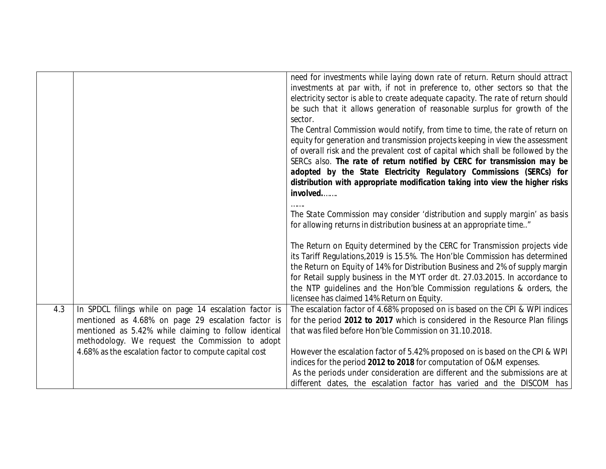|     |                                                                                                                                                                                                                          | need for investments while laying down rate of return. Return should attract<br>investments at par with, if not in preference to, other sectors so that the<br>electricity sector is able to create adequate capacity. The rate of return should<br>be such that it allows generation of reasonable surplus for growth of the<br>sector.<br>The Central Commission would notify, from time to time, the rate of return on<br>equity for generation and transmission projects keeping in view the assessment<br>of overall risk and the prevalent cost of capital which shall be followed by the<br>SERCs also. The rate of return notified by CERC for transmission may be<br>adopted by the State Electricity Regulatory Commissions (SERCs) for<br>distribution with appropriate modification taking into view the higher risks<br>involved |
|-----|--------------------------------------------------------------------------------------------------------------------------------------------------------------------------------------------------------------------------|-----------------------------------------------------------------------------------------------------------------------------------------------------------------------------------------------------------------------------------------------------------------------------------------------------------------------------------------------------------------------------------------------------------------------------------------------------------------------------------------------------------------------------------------------------------------------------------------------------------------------------------------------------------------------------------------------------------------------------------------------------------------------------------------------------------------------------------------------|
|     |                                                                                                                                                                                                                          | The State Commission may consider 'distribution and supply margin' as basis<br>for allowing returns in distribution business at an appropriate time"                                                                                                                                                                                                                                                                                                                                                                                                                                                                                                                                                                                                                                                                                          |
|     |                                                                                                                                                                                                                          | The Return on Equity determined by the CERC for Transmission projects vide<br>its Tariff Regulations, 2019 is 15.5%. The Hon'ble Commission has determined<br>the Return on Equity of 14% for Distribution Business and 2% of supply margin<br>for Retail supply business in the MYT order dt. 27.03.2015. In accordance to<br>the NTP guidelines and the Hon'ble Commission regulations & orders, the<br>licensee has claimed 14% Return on Equity.                                                                                                                                                                                                                                                                                                                                                                                          |
| 4.3 | In SPDCL filings while on page 14 escalation factor is<br>mentioned as 4.68% on page 29 escalation factor is<br>mentioned as 5.42% while claiming to follow identical<br>methodology. We request the Commission to adopt | The escalation factor of 4.68% proposed on is based on the CPI & WPI indices<br>for the period 2012 to 2017 which is considered in the Resource Plan filings<br>that was filed before Hon'ble Commission on 31.10.2018.                                                                                                                                                                                                                                                                                                                                                                                                                                                                                                                                                                                                                       |
|     | 4.68% as the escalation factor to compute capital cost                                                                                                                                                                   | However the escalation factor of 5.42% proposed on is based on the CPI & WPI<br>indices for the period 2012 to 2018 for computation of O&M expenses.<br>As the periods under consideration are different and the submissions are at<br>different dates, the escalation factor has varied and the DISCOM has                                                                                                                                                                                                                                                                                                                                                                                                                                                                                                                                   |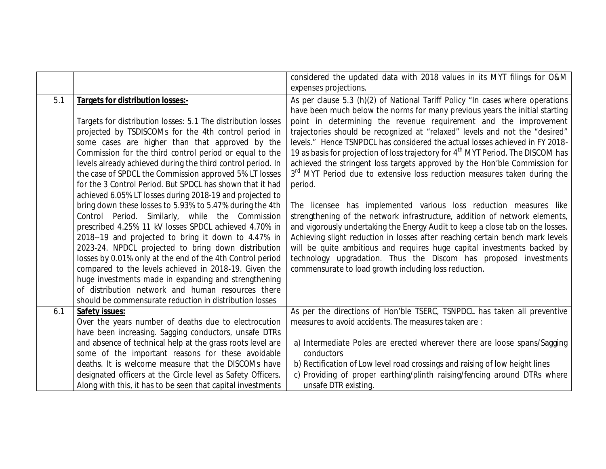|     |                                                                                                                                                                                                                                                                                                                                                                                                                                                                                                                                                                                                                                                              | considered the updated data with 2018 values in its MYT filings for O&M<br>expenses projections.                                                                                                                                                                                                                                                                                                                                                                                                                                                                                                                                                                                                                                                      |
|-----|--------------------------------------------------------------------------------------------------------------------------------------------------------------------------------------------------------------------------------------------------------------------------------------------------------------------------------------------------------------------------------------------------------------------------------------------------------------------------------------------------------------------------------------------------------------------------------------------------------------------------------------------------------------|-------------------------------------------------------------------------------------------------------------------------------------------------------------------------------------------------------------------------------------------------------------------------------------------------------------------------------------------------------------------------------------------------------------------------------------------------------------------------------------------------------------------------------------------------------------------------------------------------------------------------------------------------------------------------------------------------------------------------------------------------------|
| 5.1 | <b>Targets for distribution losses:-</b>                                                                                                                                                                                                                                                                                                                                                                                                                                                                                                                                                                                                                     | As per clause 5.3 (h)(2) of National Tariff Policy "In cases where operations<br>have been much below the norms for many previous years the initial starting                                                                                                                                                                                                                                                                                                                                                                                                                                                                                                                                                                                          |
|     | Targets for distribution losses: 5.1 The distribution losses<br>projected by TSDISCOMs for the 4th control period in<br>some cases are higher than that approved by the<br>Commission for the third control period or equal to the<br>levels already achieved during the third control period. In<br>the case of SPDCL the Commission approved 5% LT losses<br>for the 3 Control Period. But SPDCL has shown that it had<br>achieved 6.05% LT losses during 2018-19 and projected to<br>bring down these losses to 5.93% to 5.47% during the 4th<br>Control Period. Similarly, while the Commission<br>prescribed 4.25% 11 kV losses SPDCL achieved 4.70% in | point in determining the revenue requirement and the improvement<br>trajectories should be recognized at "relaxed" levels and not the "desired"<br>levels." Hence TSNPDCL has considered the actual losses achieved in FY 2018-<br>19 as basis for projection of loss trajectory for 4 <sup>th</sup> MYT Period. The DISCOM has<br>achieved the stringent loss targets approved by the Hon'ble Commission for<br>3 <sup>rd</sup> MYT Period due to extensive loss reduction measures taken during the<br>period.<br>The licensee has implemented various loss reduction measures like<br>strengthening of the network infrastructure, addition of network elements,<br>and vigorously undertaking the Energy Audit to keep a close tab on the losses. |
|     | 2018--19 and projected to bring it down to 4.47% in<br>2023-24. NPDCL projected to bring down distribution<br>losses by 0.01% only at the end of the 4th Control period<br>compared to the levels achieved in 2018-19. Given the<br>huge investments made in expanding and strengthening                                                                                                                                                                                                                                                                                                                                                                     | Achieving slight reduction in losses after reaching certain bench mark levels<br>will be quite ambitious and requires huge capital investments backed by<br>technology upgradation. Thus the Discom has proposed investments<br>commensurate to load growth including loss reduction.                                                                                                                                                                                                                                                                                                                                                                                                                                                                 |
|     | of distribution network and human resources there<br>should be commensurate reduction in distribution losses                                                                                                                                                                                                                                                                                                                                                                                                                                                                                                                                                 |                                                                                                                                                                                                                                                                                                                                                                                                                                                                                                                                                                                                                                                                                                                                                       |
| 6.1 | <b>Safety issues:</b><br>Over the years number of deaths due to electrocution<br>have been increasing. Sagging conductors, unsafe DTRs                                                                                                                                                                                                                                                                                                                                                                                                                                                                                                                       | As per the directions of Hon'ble TSERC, TSNPDCL has taken all preventive<br>measures to avoid accidents. The measures taken are:                                                                                                                                                                                                                                                                                                                                                                                                                                                                                                                                                                                                                      |
|     | and absence of technical help at the grass roots level are<br>some of the important reasons for these avoidable                                                                                                                                                                                                                                                                                                                                                                                                                                                                                                                                              | a) Intermediate Poles are erected wherever there are loose spans/Sagging<br>conductors                                                                                                                                                                                                                                                                                                                                                                                                                                                                                                                                                                                                                                                                |
|     | deaths. It is welcome measure that the DISCOMs have<br>designated officers at the Circle level as Safety Officers.<br>Along with this, it has to be seen that capital investments                                                                                                                                                                                                                                                                                                                                                                                                                                                                            | b) Rectification of Low level road crossings and raising of low height lines<br>c) Providing of proper earthing/plinth raising/fencing around DTRs where<br>unsafe DTR existing.                                                                                                                                                                                                                                                                                                                                                                                                                                                                                                                                                                      |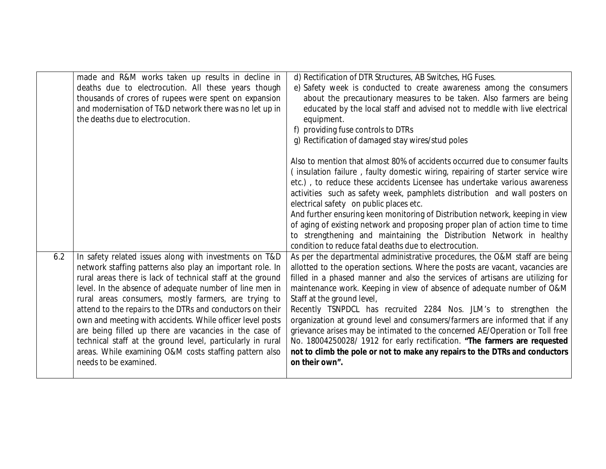|     | made and R&M works taken up results in decline in<br>deaths due to electrocution. All these years though<br>thousands of crores of rupees were spent on expansion<br>and modernisation of T&D network there was no let up in<br>the deaths due to electrocution.                                                                                                                                                                                                                                                                                                                                                                          | d) Rectification of DTR Structures, AB Switches, HG Fuses.<br>e) Safety week is conducted to create awareness among the consumers<br>about the precautionary measures to be taken. Also farmers are being<br>educated by the local staff and advised not to meddle with live electrical<br>equipment.<br>f) providing fuse controls to DTRs                                                                                                                                                                                                                                                                                                                                                                                                                          |
|-----|-------------------------------------------------------------------------------------------------------------------------------------------------------------------------------------------------------------------------------------------------------------------------------------------------------------------------------------------------------------------------------------------------------------------------------------------------------------------------------------------------------------------------------------------------------------------------------------------------------------------------------------------|----------------------------------------------------------------------------------------------------------------------------------------------------------------------------------------------------------------------------------------------------------------------------------------------------------------------------------------------------------------------------------------------------------------------------------------------------------------------------------------------------------------------------------------------------------------------------------------------------------------------------------------------------------------------------------------------------------------------------------------------------------------------|
|     |                                                                                                                                                                                                                                                                                                                                                                                                                                                                                                                                                                                                                                           | g) Rectification of damaged stay wires/stud poles<br>Also to mention that almost 80% of accidents occurred due to consumer faults<br>(insulation failure, faulty domestic wiring, repairing of starter service wire<br>etc.), to reduce these accidents Licensee has undertake various awareness<br>activities such as safety week, pamphlets distribution and wall posters on<br>electrical safety on public places etc.<br>And further ensuring keen monitoring of Distribution network, keeping in view<br>of aging of existing network and proposing proper plan of action time to time<br>to strengthening and maintaining the Distribution Network in healthy<br>condition to reduce fatal deaths due to electrocution.                                        |
| 6.2 | In safety related issues along with investments on T&D<br>network staffing patterns also play an important role. In<br>rural areas there is lack of technical staff at the ground<br>level. In the absence of adequate number of line men in<br>rural areas consumers, mostly farmers, are trying to<br>attend to the repairs to the DTRs and conductors on their<br>own and meeting with accidents. While officer level posts<br>are being filled up there are vacancies in the case of<br>technical staff at the ground level, particularly in rural<br>areas. While examining O&M costs staffing pattern also<br>needs to be examined. | As per the departmental administrative procedures, the O&M staff are being<br>allotted to the operation sections. Where the posts are vacant, vacancies are<br>filled in a phased manner and also the services of artisans are utilizing for<br>maintenance work. Keeping in view of absence of adequate number of O&M<br>Staff at the ground level,<br>Recently TSNPDCL has recruited 2284 Nos. JLM's to strengthen the<br>organization at ground level and consumers/farmers are informed that if any<br>grievance arises may be intimated to the concerned AE/Operation or Toll free<br>No. 18004250028/1912 for early rectification. "The farmers are requested<br>not to climb the pole or not to make any repairs to the DTRs and conductors<br>on their own". |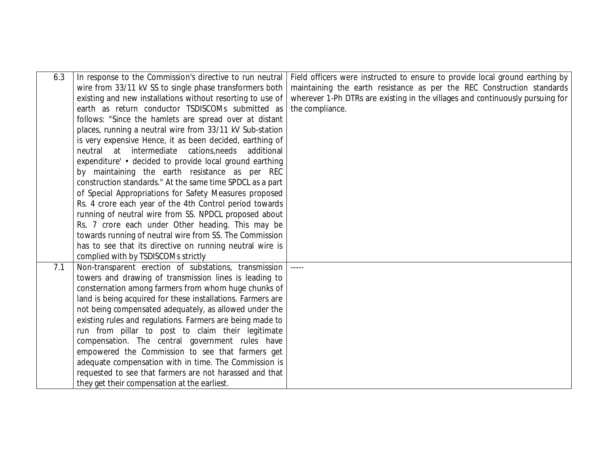| 6.3 | In response to the Commission's directive to run neutral    | Field officers were instructed to ensure to provide local ground earthing by  |
|-----|-------------------------------------------------------------|-------------------------------------------------------------------------------|
|     | wire from 33/11 kV SS to single phase transformers both     | maintaining the earth resistance as per the REC Construction standards        |
|     | existing and new installations without resorting to use of  | wherever 1-Ph DTRs are existing in the villages and continuously pursuing for |
|     | earth as return conductor TSDISCOMs submitted as            | the compliance.                                                               |
|     | follows: "Since the hamlets are spread over at distant      |                                                                               |
|     | places, running a neutral wire from 33/11 kV Sub-station    |                                                                               |
|     | is very expensive Hence, it as been decided, earthing of    |                                                                               |
|     | neutral at intermediate cations, needs additional           |                                                                               |
|     | expenditure' • decided to provide local ground earthing     |                                                                               |
|     | by maintaining the earth resistance as per REC              |                                                                               |
|     | construction standards." At the same time SPDCL as a part   |                                                                               |
|     | of Special Appropriations for Safety Measures proposed      |                                                                               |
|     | Rs. 4 crore each year of the 4th Control period towards     |                                                                               |
|     | running of neutral wire from SS. NPDCL proposed about       |                                                                               |
|     | Rs. 7 crore each under Other heading. This may be           |                                                                               |
|     | towards running of neutral wire from SS. The Commission     |                                                                               |
|     | has to see that its directive on running neutral wire is    |                                                                               |
|     | complied with by TSDISCOMs strictly                         |                                                                               |
| 7.1 | Non-transparent erection of substations, transmission       |                                                                               |
|     | towers and drawing of transmission lines is leading to      |                                                                               |
|     | consternation among farmers from whom huge chunks of        |                                                                               |
|     | land is being acquired for these installations. Farmers are |                                                                               |
|     | not being compensated adequately, as allowed under the      |                                                                               |
|     | existing rules and regulations. Farmers are being made to   |                                                                               |
|     | run from pillar to post to claim their legitimate           |                                                                               |
|     | compensation. The central government rules have             |                                                                               |
|     | empowered the Commission to see that farmers get            |                                                                               |
|     | adequate compensation with in time. The Commission is       |                                                                               |
|     | requested to see that farmers are not harassed and that     |                                                                               |
|     | they get their compensation at the earliest.                |                                                                               |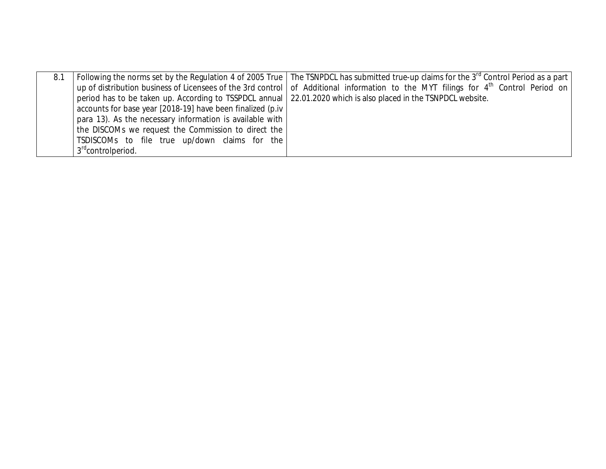| 8.1 |                                                                                                                  | Following the norms set by the Regulation 4 of 2005 True   The TSNPDCL has submitted true-up claims for the 3 <sup>rd</sup> Control Period as a part |
|-----|------------------------------------------------------------------------------------------------------------------|------------------------------------------------------------------------------------------------------------------------------------------------------|
|     |                                                                                                                  | up of distribution business of Licensees of the 3rd control   of Additional information to the MYT filings for $4^{th}$ Control Period on            |
|     | period has to be taken up. According to TSSPDCL annual   22.01.2020 which is also placed in the TSNPDCL website. |                                                                                                                                                      |
|     | accounts for base year [2018-19] have been finalized (p.iv                                                       |                                                                                                                                                      |
|     | para 13). As the necessary information is available with                                                         |                                                                                                                                                      |
|     | the DISCOMs we request the Commission to direct the                                                              |                                                                                                                                                      |
|     | TSDISCOMs to file true up/down claims for the                                                                    |                                                                                                                                                      |
|     | 3 <sup>rd</sup> controlperiod.                                                                                   |                                                                                                                                                      |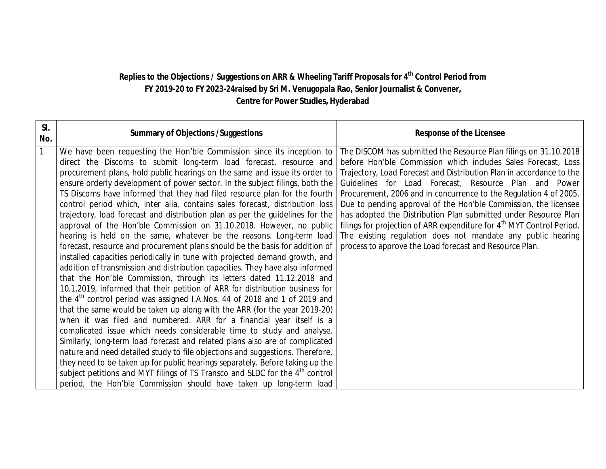## **Replies to the Objections / Suggestions on ARR & Wheeling Tariff Proposals for 4th Control Period from FY 2019-20 to FY 2023-24raised by Sri M. Venugopala Rao, Senior Journalist & Convener, Centre for Power Studies, Hyderabad**

| SI.<br>No.   | <b>Summary of Objections / Suggestions</b>                                                                                                                  | <b>Response of the Licensee</b>                                                   |
|--------------|-------------------------------------------------------------------------------------------------------------------------------------------------------------|-----------------------------------------------------------------------------------|
| $\mathbf{1}$ | We have been requesting the Hon'ble Commission since its inception to                                                                                       | The DISCOM has submitted the Resource Plan filings on 31.10.2018                  |
|              | direct the Discoms to submit long-term load forecast, resource and                                                                                          | before Hon'ble Commission which includes Sales Forecast, Loss                     |
|              | procurement plans, hold public hearings on the same and issue its order to                                                                                  | Trajectory, Load Forecast and Distribution Plan in accordance to the              |
|              | ensure orderly development of power sector. In the subject filings, both the                                                                                | Guidelines for Load Forecast, Resource Plan and Power                             |
|              | TS Discoms have informed that they had filed resource plan for the fourth                                                                                   | Procurement, 2006 and in concurrence to the Regulation 4 of 2005.                 |
|              | control period which, inter alia, contains sales forecast, distribution loss                                                                                | Due to pending approval of the Hon'ble Commission, the licensee                   |
|              | trajectory, load forecast and distribution plan as per the guidelines for the                                                                               | has adopted the Distribution Plan submitted under Resource Plan                   |
|              | approval of the Hon'ble Commission on 31.10.2018. However, no public                                                                                        | filings for projection of ARR expenditure for 4 <sup>th</sup> MYT Control Period. |
|              | hearing is held on the same, whatever be the reasons. Long-term load                                                                                        | The existing regulation does not mandate any public hearing                       |
|              | forecast, resource and procurement plans should be the basis for addition of                                                                                | process to approve the Load forecast and Resource Plan.                           |
|              | installed capacities periodically in tune with projected demand growth, and                                                                                 |                                                                                   |
|              | addition of transmission and distribution capacities. They have also informed                                                                               |                                                                                   |
|              | that the Hon'ble Commission, through its letters dated 11.12.2018 and                                                                                       |                                                                                   |
|              | 10.1.2019, informed that their petition of ARR for distribution business for<br>the $4th$ control period was assigned I.A.Nos. 44 of 2018 and 1 of 2019 and |                                                                                   |
|              | that the same would be taken up along with the ARR (for the year 2019-20)                                                                                   |                                                                                   |
|              | when it was filed and numbered. ARR for a financial year itself is a                                                                                        |                                                                                   |
|              | complicated issue which needs considerable time to study and analyse.                                                                                       |                                                                                   |
|              | Similarly, long-term load forecast and related plans also are of complicated                                                                                |                                                                                   |
|              | nature and need detailed study to file objections and suggestions. Therefore,                                                                               |                                                                                   |
|              | they need to be taken up for public hearings separately. Before taking up the                                                                               |                                                                                   |
|              | subject petitions and MYT filings of TS Transco and SLDC for the 4 <sup>th</sup> control                                                                    |                                                                                   |
|              | period, the Hon'ble Commission should have taken up long-term load                                                                                          |                                                                                   |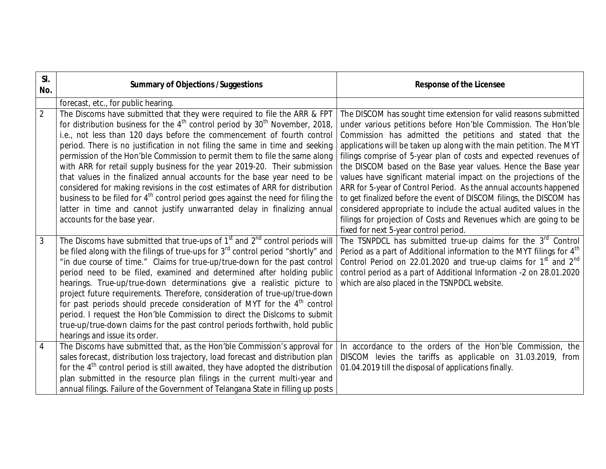| SI.<br>No.     | <b>Summary of Objections / Suggestions</b>                                                                                                                                                                                                                                                                                                                                                                                                                                                                                                                                                                                                                                                                                                                                                                                                                            | <b>Response of the Licensee</b>                                                                                                                                                                                                                                                                                                                                                                                                                                                                                                                                                                                                                                                                                                                                                                                    |
|----------------|-----------------------------------------------------------------------------------------------------------------------------------------------------------------------------------------------------------------------------------------------------------------------------------------------------------------------------------------------------------------------------------------------------------------------------------------------------------------------------------------------------------------------------------------------------------------------------------------------------------------------------------------------------------------------------------------------------------------------------------------------------------------------------------------------------------------------------------------------------------------------|--------------------------------------------------------------------------------------------------------------------------------------------------------------------------------------------------------------------------------------------------------------------------------------------------------------------------------------------------------------------------------------------------------------------------------------------------------------------------------------------------------------------------------------------------------------------------------------------------------------------------------------------------------------------------------------------------------------------------------------------------------------------------------------------------------------------|
|                | forecast, etc., for public hearing.                                                                                                                                                                                                                                                                                                                                                                                                                                                                                                                                                                                                                                                                                                                                                                                                                                   |                                                                                                                                                                                                                                                                                                                                                                                                                                                                                                                                                                                                                                                                                                                                                                                                                    |
| $\overline{2}$ | The Discoms have submitted that they were required to file the ARR & FPT<br>for distribution business for the $4th$ control period by 30 <sup>th</sup> November, 2018,<br>i.e., not less than 120 days before the commencement of fourth control<br>period. There is no justification in not filing the same in time and seeking<br>permission of the Hon'ble Commission to permit them to file the same along<br>with ARR for retail supply business for the year 2019-20. Their submission<br>that values in the finalized annual accounts for the base year need to be<br>considered for making revisions in the cost estimates of ARR for distribution<br>business to be filed for 4 <sup>th</sup> control period goes against the need for filing the<br>latter in time and cannot justify unwarranted delay in finalizing annual<br>accounts for the base year. | The DISCOM has sought time extension for valid reasons submitted<br>under various petitions before Hon'ble Commission. The Hon'ble<br>Commission has admitted the petitions and stated that the<br>applications will be taken up along with the main petition. The MYT<br>filings comprise of 5-year plan of costs and expected revenues of<br>the DISCOM based on the Base year values. Hence the Base year<br>values have significant material impact on the projections of the<br>ARR for 5-year of Control Period. As the annual accounts happened<br>to get finalized before the event of DISCOM filings, the DISCOM has<br>considered appropriate to include the actual audited values in the<br>filings for projection of Costs and Revenues which are going to be<br>fixed for next 5-year control period. |
| 3              | The Discoms have submitted that true-ups of 1 <sup>st</sup> and 2 <sup>nd</sup> control periods will<br>be filed along with the filings of true-ups for 3 <sup>rd</sup> control period "shortly" and<br>"in due course of time." Claims for true-up/true-down for the past control<br>period need to be filed, examined and determined after holding public<br>hearings. True-up/true-down determinations give a realistic picture to<br>project future requirements. Therefore, consideration of true-up/true-down<br>for past periods should precede consideration of MYT for the 4 <sup>th</sup> control<br>period. I request the Hon'ble Commission to direct the Dislcoms to submit<br>true-up/true-down claims for the past control periods forthwith, hold public<br>hearings and issue its order.                                                             | The TSNPDCL has submitted true-up claims for the 3 <sup>rd</sup> Control<br>Period as a part of Additional information to the MYT filings for 4 <sup>th</sup><br>Control Period on 22.01.2020 and true-up claims for 1 <sup>st</sup> and 2 <sup>nd</sup><br>control period as a part of Additional Information -2 on 28.01.2020<br>which are also placed in the TSNPDCL website.                                                                                                                                                                                                                                                                                                                                                                                                                                   |
| 4              | The Discoms have submitted that, as the Hon'ble Commission's approval for<br>sales forecast, distribution loss trajectory, load forecast and distribution plan<br>for the 4 <sup>th</sup> control period is still awaited, they have adopted the distribution<br>plan submitted in the resource plan filings in the current multi-year and<br>annual filings. Failure of the Government of Telangana State in filling up posts                                                                                                                                                                                                                                                                                                                                                                                                                                        | In accordance to the orders of the Hon'ble Commission, the<br>DISCOM levies the tariffs as applicable on 31.03.2019, from<br>01.04.2019 till the disposal of applications finally.                                                                                                                                                                                                                                                                                                                                                                                                                                                                                                                                                                                                                                 |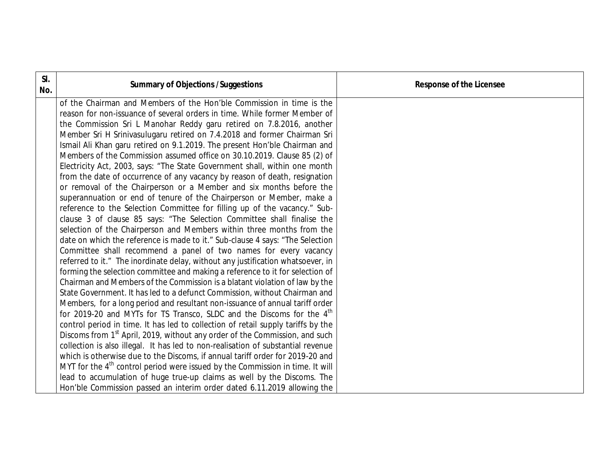| SI.<br>No. | <b>Summary of Objections / Suggestions</b>                                              | <b>Response of the Licensee</b> |
|------------|-----------------------------------------------------------------------------------------|---------------------------------|
|            | of the Chairman and Members of the Hon'ble Commission in time is the                    |                                 |
|            | reason for non-issuance of several orders in time. While former Member of               |                                 |
|            | the Commission Sri L Manohar Reddy garu retired on 7.8.2016, another                    |                                 |
|            | Member Sri H Srinivasulugaru retired on 7.4.2018 and former Chairman Sri                |                                 |
|            | Ismail Ali Khan garu retired on 9.1.2019. The present Hon'ble Chairman and              |                                 |
|            | Members of the Commission assumed office on 30.10.2019. Clause 85 (2) of                |                                 |
|            | Electricity Act, 2003, says: "The State Government shall, within one month              |                                 |
|            | from the date of occurrence of any vacancy by reason of death, resignation              |                                 |
|            | or removal of the Chairperson or a Member and six months before the                     |                                 |
|            | superannuation or end of tenure of the Chairperson or Member, make a                    |                                 |
|            | reference to the Selection Committee for filling up of the vacancy." Sub-               |                                 |
|            | clause 3 of clause 85 says: "The Selection Committee shall finalise the                 |                                 |
|            | selection of the Chairperson and Members within three months from the                   |                                 |
|            | date on which the reference is made to it." Sub-clause 4 says: "The Selection           |                                 |
|            | Committee shall recommend a panel of two names for every vacancy                        |                                 |
|            | referred to it." The inordinate delay, without any justification whatsoever, in         |                                 |
|            | forming the selection committee and making a reference to it for selection of           |                                 |
|            | Chairman and Members of the Commission is a blatant violation of law by the             |                                 |
|            | State Government. It has led to a defunct Commission, without Chairman and              |                                 |
|            | Members, for a long period and resultant non-issuance of annual tariff order            |                                 |
|            | for 2019-20 and MYTs for TS Transco, SLDC and the Discoms for the 4 <sup>th</sup>       |                                 |
|            | control period in time. It has led to collection of retail supply tariffs by the        |                                 |
|            | Discoms from 1 <sup>st</sup> April, 2019, without any order of the Commission, and such |                                 |
|            | collection is also illegal. It has led to non-realisation of substantial revenue        |                                 |
|            | which is otherwise due to the Discoms, if annual tariff order for 2019-20 and           |                                 |
|            | MYT for the $4th$ control period were issued by the Commission in time. It will         |                                 |
|            | lead to accumulation of huge true-up claims as well by the Discoms. The                 |                                 |
|            | Hon'ble Commission passed an interim order dated 6.11.2019 allowing the                 |                                 |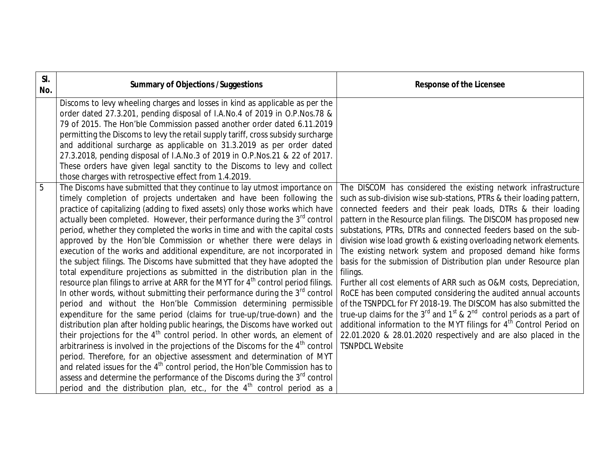| SI.<br>No. | <b>Summary of Objections / Suggestions</b>                                                                                                                                                                                                                                                                                                                                                                                                                                                                                                                                                                                                                                                                                                                                                                                                                                                                                                                                                                                                                                                                                                                                                                                                                                                                                                                                                                                                                                                                                                                                                                                                                                  | <b>Response of the Licensee</b>                                                                                                                                                                                                                                                                                                                                                                                                                                                                                                                                                                                                                                                                                                                                                                                                                                                                                                                                                                                                                        |
|------------|-----------------------------------------------------------------------------------------------------------------------------------------------------------------------------------------------------------------------------------------------------------------------------------------------------------------------------------------------------------------------------------------------------------------------------------------------------------------------------------------------------------------------------------------------------------------------------------------------------------------------------------------------------------------------------------------------------------------------------------------------------------------------------------------------------------------------------------------------------------------------------------------------------------------------------------------------------------------------------------------------------------------------------------------------------------------------------------------------------------------------------------------------------------------------------------------------------------------------------------------------------------------------------------------------------------------------------------------------------------------------------------------------------------------------------------------------------------------------------------------------------------------------------------------------------------------------------------------------------------------------------------------------------------------------------|--------------------------------------------------------------------------------------------------------------------------------------------------------------------------------------------------------------------------------------------------------------------------------------------------------------------------------------------------------------------------------------------------------------------------------------------------------------------------------------------------------------------------------------------------------------------------------------------------------------------------------------------------------------------------------------------------------------------------------------------------------------------------------------------------------------------------------------------------------------------------------------------------------------------------------------------------------------------------------------------------------------------------------------------------------|
|            | Discoms to levy wheeling charges and losses in kind as applicable as per the<br>order dated 27.3.201, pending disposal of I.A.No.4 of 2019 in O.P.Nos.78 &<br>79 of 2015. The Hon'ble Commission passed another order dated 6.11.2019<br>permitting the Discoms to levy the retail supply tariff, cross subsidy surcharge<br>and additional surcharge as applicable on 31.3.2019 as per order dated<br>27.3.2018, pending disposal of I.A.No.3 of 2019 in O.P.Nos.21 & 22 of 2017.<br>These orders have given legal sanctity to the Discoms to levy and collect<br>those charges with retrospective effect from 1.4.2019.                                                                                                                                                                                                                                                                                                                                                                                                                                                                                                                                                                                                                                                                                                                                                                                                                                                                                                                                                                                                                                                   |                                                                                                                                                                                                                                                                                                                                                                                                                                                                                                                                                                                                                                                                                                                                                                                                                                                                                                                                                                                                                                                        |
| 5          | The Discoms have submitted that they continue to lay utmost importance on<br>timely completion of projects undertaken and have been following the<br>practice of capitalizing (adding to fixed assets) only those works which have<br>actually been completed. However, their performance during the 3 <sup>rd</sup> control<br>period, whether they completed the works in time and with the capital costs<br>approved by the Hon'ble Commission or whether there were delays in<br>execution of the works and additional expenditure, are not incorporated in<br>the subject filings. The Discoms have submitted that they have adopted the<br>total expenditure projections as submitted in the distribution plan in the<br>resource plan filings to arrive at ARR for the MYT for 4 <sup>th</sup> control period filings.<br>In other words, without submitting their performance during the $3rd$ control<br>period and without the Hon'ble Commission determining permissible<br>expenditure for the same period (claims for true-up/true-down) and the<br>distribution plan after holding public hearings, the Discoms have worked out<br>their projections for the 4 <sup>th</sup> control period. In other words, an element of<br>arbitrariness is involved in the projections of the Discoms for the $4th$ control<br>period. Therefore, for an objective assessment and determination of MYT<br>and related issues for the $4th$ control period, the Hon'ble Commission has to<br>assess and determine the performance of the Discoms during the 3 <sup>rd</sup> control<br>period and the distribution plan, etc., for the 4 <sup>th</sup> control period as a | The DISCOM has considered the existing network infrastructure<br>such as sub-division wise sub-stations, PTRs & their loading pattern,<br>connected feeders and their peak loads, DTRs & their loading<br>pattern in the Resource plan filings. The DISCOM has proposed new<br>substations, PTRs, DTRs and connected feeders based on the sub-<br>division wise load growth & existing overloading network elements.<br>The existing network system and proposed demand hike forms<br>basis for the submission of Distribution plan under Resource plan<br>filings.<br>Further all cost elements of ARR such as O&M costs, Depreciation,<br>RoCE has been computed considering the audited annual accounts<br>of the TSNPDCL for FY 2018-19. The DISCOM has also submitted the<br>true-up claims for the $3^{rd}$ and $1^{st}$ & $2^{nd}$ control periods as a part of<br>additional information to the MYT filings for 4 <sup>th</sup> Control Period on<br>22.01.2020 & 28.01.2020 respectively and are also placed in the<br><b>TSNPDCL Website</b> |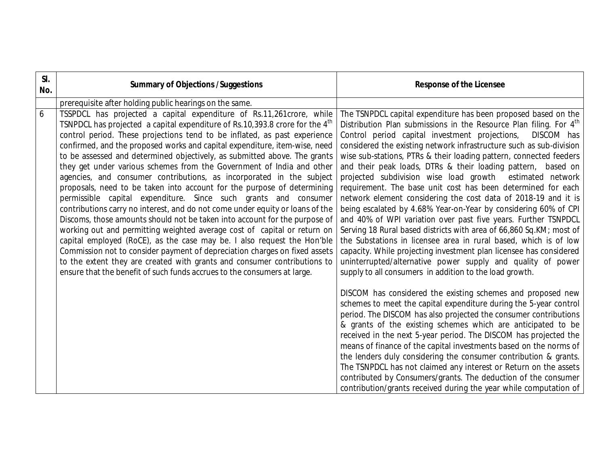| SI.<br>No. | <b>Summary of Objections / Suggestions</b>                                                                                                                                                                                                                                                                                                                                                                                                                                                                                                                                                                                                                                                                                                                                                                                                                                                                                                                                                                                                                                                                                                                                                                                                                          | <b>Response of the Licensee</b>                                                                                                                                                                                                                                                                                                                                                                                                                                                                                                                                                                                                                                                                                                                                                                                                                                                                                                                                                                                                                                                                             |
|------------|---------------------------------------------------------------------------------------------------------------------------------------------------------------------------------------------------------------------------------------------------------------------------------------------------------------------------------------------------------------------------------------------------------------------------------------------------------------------------------------------------------------------------------------------------------------------------------------------------------------------------------------------------------------------------------------------------------------------------------------------------------------------------------------------------------------------------------------------------------------------------------------------------------------------------------------------------------------------------------------------------------------------------------------------------------------------------------------------------------------------------------------------------------------------------------------------------------------------------------------------------------------------|-------------------------------------------------------------------------------------------------------------------------------------------------------------------------------------------------------------------------------------------------------------------------------------------------------------------------------------------------------------------------------------------------------------------------------------------------------------------------------------------------------------------------------------------------------------------------------------------------------------------------------------------------------------------------------------------------------------------------------------------------------------------------------------------------------------------------------------------------------------------------------------------------------------------------------------------------------------------------------------------------------------------------------------------------------------------------------------------------------------|
|            | prerequisite after holding public hearings on the same.                                                                                                                                                                                                                                                                                                                                                                                                                                                                                                                                                                                                                                                                                                                                                                                                                                                                                                                                                                                                                                                                                                                                                                                                             |                                                                                                                                                                                                                                                                                                                                                                                                                                                                                                                                                                                                                                                                                                                                                                                                                                                                                                                                                                                                                                                                                                             |
| 6          | TSSPDCL has projected a capital expenditure of Rs.11,261crore, while<br>TSNPDCL has projected a capital expenditure of Rs.10,393.8 crore for the 4 <sup>th</sup><br>control period. These projections tend to be inflated, as past experience<br>confirmed, and the proposed works and capital expenditure, item-wise, need<br>to be assessed and determined objectively, as submitted above. The grants<br>they get under various schemes from the Government of India and other<br>agencies, and consumer contributions, as incorporated in the subject<br>proposals, need to be taken into account for the purpose of determining<br>permissible capital expenditure. Since such grants and consumer<br>contributions carry no interest, and do not come under equity or loans of the<br>Discoms, those amounts should not be taken into account for the purpose of<br>working out and permitting weighted average cost of capital or return on<br>capital employed (RoCE), as the case may be. I also request the Hon'ble<br>Commission not to consider payment of depreciation charges on fixed assets<br>to the extent they are created with grants and consumer contributions to<br>ensure that the benefit of such funds accrues to the consumers at large. | The TSNPDCL capital expenditure has been proposed based on the<br>Distribution Plan submissions in the Resource Plan filing. For 4 <sup>th</sup><br>Control period capital investment projections,<br>DISCOM has<br>considered the existing network infrastructure such as sub-division<br>wise sub-stations, PTRs & their loading pattern, connected feeders<br>and their peak loads, DTRs & their loading pattern, based on<br>projected subdivision wise load growth estimated network<br>requirement. The base unit cost has been determined for each<br>network element considering the cost data of 2018-19 and it is<br>being escalated by 4.68% Year-on-Year by considering 60% of CPI<br>and 40% of WPI variation over past five years. Further TSNPDCL<br>Serving 18 Rural based districts with area of 66,860 Sq.KM; most of<br>the Substations in licensee area in rural based, which is of low<br>capacity. While projecting investment plan licensee has considered<br>uninterrupted/alternative power supply and quality of power<br>supply to all consumers in addition to the load growth. |
|            |                                                                                                                                                                                                                                                                                                                                                                                                                                                                                                                                                                                                                                                                                                                                                                                                                                                                                                                                                                                                                                                                                                                                                                                                                                                                     | DISCOM has considered the existing schemes and proposed new<br>schemes to meet the capital expenditure during the 5-year control<br>period. The DISCOM has also projected the consumer contributions<br>& grants of the existing schemes which are anticipated to be<br>received in the next 5-year period. The DISCOM has projected the<br>means of finance of the capital investments based on the norms of<br>the lenders duly considering the consumer contribution & grants.<br>The TSNPDCL has not claimed any interest or Return on the assets<br>contributed by Consumers/grants. The deduction of the consumer<br>contribution/grants received during the year while computation of                                                                                                                                                                                                                                                                                                                                                                                                                |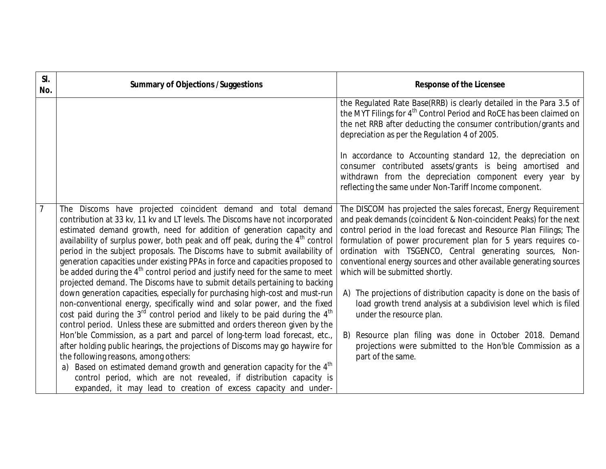| SI.<br>No.     | <b>Summary of Objections / Suggestions</b>                                                                                                                                                                                                                                                                                                                                                                                                                                                                                                                                                                                                                     | <b>Response of the Licensee</b>                                                                                                                                                                                                                                                                                                                                                                                                                     |
|----------------|----------------------------------------------------------------------------------------------------------------------------------------------------------------------------------------------------------------------------------------------------------------------------------------------------------------------------------------------------------------------------------------------------------------------------------------------------------------------------------------------------------------------------------------------------------------------------------------------------------------------------------------------------------------|-----------------------------------------------------------------------------------------------------------------------------------------------------------------------------------------------------------------------------------------------------------------------------------------------------------------------------------------------------------------------------------------------------------------------------------------------------|
|                |                                                                                                                                                                                                                                                                                                                                                                                                                                                                                                                                                                                                                                                                | the Regulated Rate Base(RRB) is clearly detailed in the Para 3.5 of<br>the MYT Filings for 4 <sup>th</sup> Control Period and RoCE has been claimed on<br>the net RRB after deducting the consumer contribution/grants and<br>depreciation as per the Regulation 4 of 2005.                                                                                                                                                                         |
|                |                                                                                                                                                                                                                                                                                                                                                                                                                                                                                                                                                                                                                                                                | In accordance to Accounting standard 12, the depreciation on<br>consumer contributed assets/grants is being amortised and<br>withdrawn from the depreciation component every year by<br>reflecting the same under Non-Tariff Income component.                                                                                                                                                                                                      |
| $\overline{7}$ | The Discoms have projected coincident demand and total demand<br>contribution at 33 kv, 11 kv and LT levels. The Discoms have not incorporated<br>estimated demand growth, need for addition of generation capacity and<br>availability of surplus power, both peak and off peak, during the 4 <sup>th</sup> control<br>period in the subject proposals. The Discoms have to submit availability of<br>generation capacities under existing PPAs in force and capacities proposed to<br>be added during the 4 <sup>th</sup> control period and justify need for the same to meet<br>projected demand. The Discoms have to submit details pertaining to backing | The DISCOM has projected the sales forecast, Energy Requirement<br>and peak demands (coincident & Non-coincident Peaks) for the next<br>control period in the load forecast and Resource Plan Filings; The<br>formulation of power procurement plan for 5 years requires co-<br>ordination with TSGENCO, Central generating sources, Non-<br>conventional energy sources and other available generating sources<br>which will be submitted shortly. |
|                | down generation capacities, especially for purchasing high-cost and must-run<br>non-conventional energy, specifically wind and solar power, and the fixed<br>cost paid during the $3^{rd}$ control period and likely to be paid during the $4^{th}$<br>control period. Unless these are submitted and orders thereon given by the                                                                                                                                                                                                                                                                                                                              | The projections of distribution capacity is done on the basis of<br>A)<br>load growth trend analysis at a subdivision level which is filed<br>under the resource plan.                                                                                                                                                                                                                                                                              |
|                | Hon'ble Commission, as a part and parcel of long-term load forecast, etc.,<br>after holding public hearings, the projections of Discoms may go haywire for<br>the following reasons, among others:<br>Based on estimated demand growth and generation capacity for the 4 <sup>th</sup><br>a)                                                                                                                                                                                                                                                                                                                                                                   | Resource plan filing was done in October 2018. Demand<br>B)<br>projections were submitted to the Hon'ble Commission as a<br>part of the same.                                                                                                                                                                                                                                                                                                       |
|                | control period, which are not revealed, if distribution capacity is<br>expanded, it may lead to creation of excess capacity and under-                                                                                                                                                                                                                                                                                                                                                                                                                                                                                                                         |                                                                                                                                                                                                                                                                                                                                                                                                                                                     |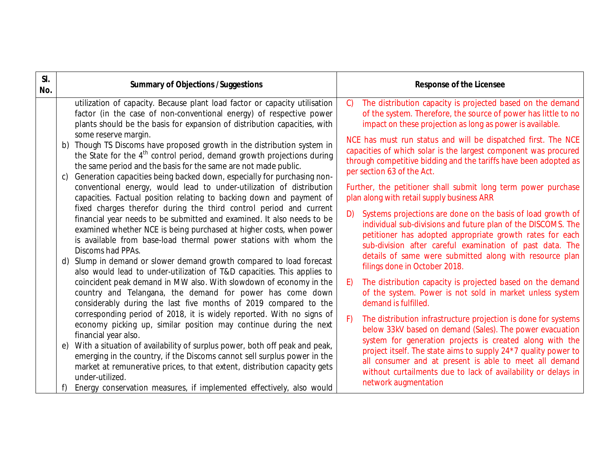| SI.<br>No. | <b>Summary of Objections / Suggestions</b>                                                                                                                                                                                                                                                                   | <b>Response of the Licensee</b>                                                                                                                                                                                                                           |
|------------|--------------------------------------------------------------------------------------------------------------------------------------------------------------------------------------------------------------------------------------------------------------------------------------------------------------|-----------------------------------------------------------------------------------------------------------------------------------------------------------------------------------------------------------------------------------------------------------|
|            | utilization of capacity. Because plant load factor or capacity utilisation<br>factor (in the case of non-conventional energy) of respective power<br>plants should be the basis for expansion of distribution capacities, with                                                                               | The distribution capacity is projected based on the demand<br>C)<br>of the system. Therefore, the source of power has little to no<br>impact on these projection as long as power is available.                                                           |
|            | some reserve margin.<br>b) Though TS Discoms have proposed growth in the distribution system in<br>the State for the 4 <sup>th</sup> control period, demand growth projections during<br>the same period and the basis for the same are not made public.                                                     | NCE has must run status and will be dispatched first. The NCE<br>capacities of which solar is the largest component was procured<br>through competitive bidding and the tariffs have been adopted as<br>per section 63 of the Act.                        |
|            | Generation capacities being backed down, especially for purchasing non-<br>C)<br>conventional energy, would lead to under-utilization of distribution<br>capacities. Factual position relating to backing down and payment of                                                                                | Further, the petitioner shall submit long term power purchase<br>plan along with retail supply business ARR                                                                                                                                               |
|            | fixed charges therefor during the third control period and current<br>financial year needs to be submitted and examined. It also needs to be<br>examined whether NCE is being purchased at higher costs, when power<br>is available from base-load thermal power stations with whom the<br>Discoms had PPAs. | Systems projections are done on the basis of load growth of<br>D)<br>individual sub-divisions and future plan of the DISCOMS. The<br>petitioner has adopted appropriate growth rates for each<br>sub-division after careful examination of past data. The |
|            | d) Slump in demand or slower demand growth compared to load forecast<br>also would lead to under-utilization of T&D capacities. This applies to                                                                                                                                                              | details of same were submitted along with resource plan<br>filings done in October 2018.                                                                                                                                                                  |
|            | coincident peak demand in MW also. With slowdown of economy in the<br>country and Telangana, the demand for power has come down<br>considerably during the last five months of 2019 compared to the                                                                                                          | The distribution capacity is projected based on the demand<br>E)<br>of the system. Power is not sold in market unless system<br>demand is fulfilled.                                                                                                      |
|            | corresponding period of 2018, it is widely reported. With no signs of<br>economy picking up, similar position may continue during the next<br>financial year also.                                                                                                                                           | F)<br>The distribution infrastructure projection is done for systems<br>below 33kV based on demand (Sales). The power evacuation<br>system for generation projects is created along with the                                                              |
|            | e) With a situation of availability of surplus power, both off peak and peak,<br>emerging in the country, if the Discoms cannot sell surplus power in the<br>market at remunerative prices, to that extent, distribution capacity gets<br>under-utilized.                                                    | project itself. The state aims to supply 24*7 quality power to<br>all consumer and at present is able to meet all demand<br>without curtailments due to lack of availability or delays in<br>network augmentation                                         |
|            | Energy conservation measures, if implemented effectively, also would                                                                                                                                                                                                                                         |                                                                                                                                                                                                                                                           |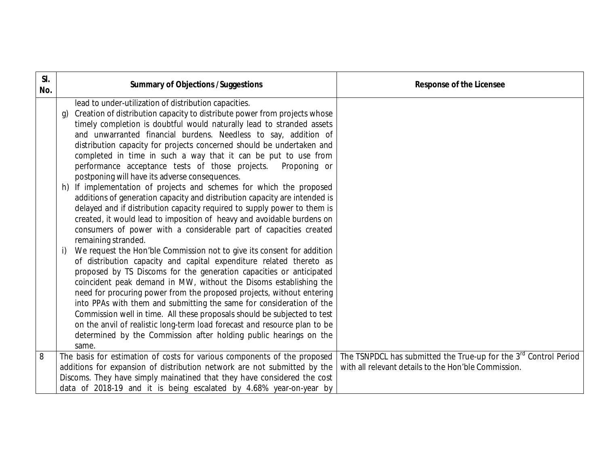| SI.<br>No. | <b>Summary of Objections / Suggestions</b>                                                                                                                                                                                                                                                                                                                                                                                                                                                                                                                                                                                                                                              | <b>Response of the Licensee</b>                                                                                                      |
|------------|-----------------------------------------------------------------------------------------------------------------------------------------------------------------------------------------------------------------------------------------------------------------------------------------------------------------------------------------------------------------------------------------------------------------------------------------------------------------------------------------------------------------------------------------------------------------------------------------------------------------------------------------------------------------------------------------|--------------------------------------------------------------------------------------------------------------------------------------|
|            | lead to under-utilization of distribution capacities.<br>Creation of distribution capacity to distribute power from projects whose<br>q)<br>timely completion is doubtful would naturally lead to stranded assets<br>and unwarranted financial burdens. Needless to say, addition of<br>distribution capacity for projects concerned should be undertaken and<br>completed in time in such a way that it can be put to use from                                                                                                                                                                                                                                                         |                                                                                                                                      |
|            | performance acceptance tests of those projects.<br>Proponing or<br>postponing will have its adverse consequences.<br>h) If implementation of projects and schemes for which the proposed                                                                                                                                                                                                                                                                                                                                                                                                                                                                                                |                                                                                                                                      |
|            | additions of generation capacity and distribution capacity are intended is<br>delayed and if distribution capacity required to supply power to them is<br>created, it would lead to imposition of heavy and avoidable burdens on<br>consumers of power with a considerable part of capacities created<br>remaining stranded.                                                                                                                                                                                                                                                                                                                                                            |                                                                                                                                      |
|            | We request the Hon'ble Commission not to give its consent for addition<br>i)<br>of distribution capacity and capital expenditure related thereto as<br>proposed by TS Discoms for the generation capacities or anticipated<br>coincident peak demand in MW, without the Disoms establishing the<br>need for procuring power from the proposed projects, without entering<br>into PPAs with them and submitting the same for consideration of the<br>Commission well in time. All these proposals should be subjected to test<br>on the anvil of realistic long-term load forecast and resource plan to be<br>determined by the Commission after holding public hearings on the<br>same. |                                                                                                                                      |
| 8          | The basis for estimation of costs for various components of the proposed<br>additions for expansion of distribution network are not submitted by the                                                                                                                                                                                                                                                                                                                                                                                                                                                                                                                                    | The TSNPDCL has submitted the True-up for the 3 <sup>rd</sup> Control Period<br>with all relevant details to the Hon'ble Commission. |
|            | Discoms. They have simply mainatined that they have considered the cost<br>data of 2018-19 and it is being escalated by 4.68% year-on-year by                                                                                                                                                                                                                                                                                                                                                                                                                                                                                                                                           |                                                                                                                                      |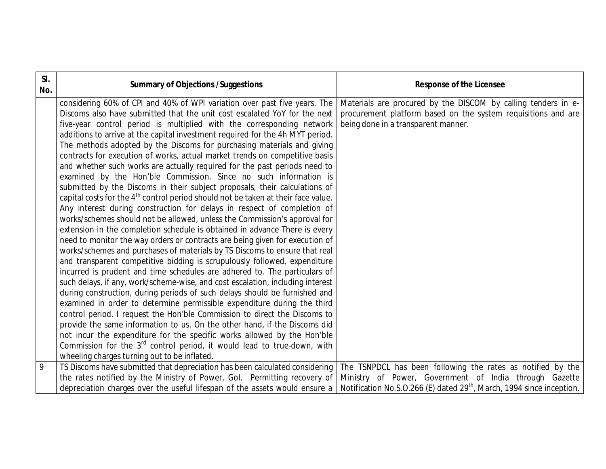| SI.<br>No. | <b>Summary of Objections / Suggestions</b>                                                    | <b>Response of the Licensee</b>                                                   |
|------------|-----------------------------------------------------------------------------------------------|-----------------------------------------------------------------------------------|
|            | considering 60% of CPI and 40% of WPI variation over past five years. The                     | Materials are procured by the DISCOM by calling tenders in e-                     |
|            | Discoms also have submitted that the unit cost escalated YoY for the next                     | procurement platform based on the system requisitions and are                     |
|            | five-year control period is multiplied with the corresponding network                         | being done in a transparent manner.                                               |
|            | additions to arrive at the capital investment required for the 4h MYT period.                 |                                                                                   |
|            | The methods adopted by the Discoms for purchasing materials and giving                        |                                                                                   |
|            | contracts for execution of works, actual market trends on competitive basis                   |                                                                                   |
|            | and whether such works are actually required for the past periods need to                     |                                                                                   |
|            | examined by the Hon'ble Commission. Since no such information is                              |                                                                                   |
|            | submitted by the Discoms in their subject proposals, their calculations of                    |                                                                                   |
|            | capital costs for the 4 <sup>th</sup> control period should not be taken at their face value. |                                                                                   |
|            | Any interest during construction for delays in respect of completion of                       |                                                                                   |
|            | works/schemes should not be allowed, unless the Commission's approval for                     |                                                                                   |
|            | extension in the completion schedule is obtained in advance There is every                    |                                                                                   |
|            | need to monitor the way orders or contracts are being given for execution of                  |                                                                                   |
|            | works/schemes and purchases of materials by TS Discoms to ensure that real                    |                                                                                   |
|            | and transparent competitive bidding is scrupulously followed, expenditure                     |                                                                                   |
|            | incurred is prudent and time schedules are adhered to. The particulars of                     |                                                                                   |
|            | such delays, if any, work/scheme-wise, and cost escalation, including interest                |                                                                                   |
|            | during construction, during periods of such delays should be furnished and                    |                                                                                   |
|            | examined in order to determine permissible expenditure during the third                       |                                                                                   |
|            | control period. I request the Hon'ble Commission to direct the Discoms to                     |                                                                                   |
|            | provide the same information to us. On the other hand, if the Discoms did                     |                                                                                   |
|            | not incur the expenditure for the specific works allowed by the Hon'ble                       |                                                                                   |
|            | Commission for the 3 <sup>rd</sup> control period, it would lead to true-down, with           |                                                                                   |
|            | wheeling charges turning out to be inflated.                                                  |                                                                                   |
| 9          | TS Discoms have submitted that depreciation has been calculated considering                   | The TSNPDCL has been following the rates as notified by the                       |
|            | the rates notified by the Ministry of Power, Gol. Permitting recovery of                      | Ministry of Power, Government of India through Gazette                            |
|            | depreciation charges over the useful lifespan of the assets would ensure a                    | Notification No.S.O.266 (E) dated 29 <sup>th</sup> , March, 1994 since inception. |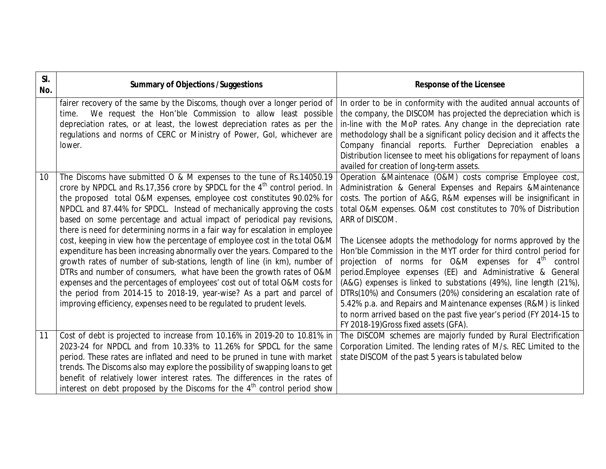| SI.<br>No. | <b>Summary of Objections / Suggestions</b>                                                                                                                                                                                                                                                                                                                                                                                                                                                                                                                                                                                                                                                                                                                                                                                                                                                                                                                                                                                       | <b>Response of the Licensee</b>                                                                                                                                                                                                                                                                                                                                                                                                                                                                                                                                                                                                                                                                                                                                                                                                                                                     |
|------------|----------------------------------------------------------------------------------------------------------------------------------------------------------------------------------------------------------------------------------------------------------------------------------------------------------------------------------------------------------------------------------------------------------------------------------------------------------------------------------------------------------------------------------------------------------------------------------------------------------------------------------------------------------------------------------------------------------------------------------------------------------------------------------------------------------------------------------------------------------------------------------------------------------------------------------------------------------------------------------------------------------------------------------|-------------------------------------------------------------------------------------------------------------------------------------------------------------------------------------------------------------------------------------------------------------------------------------------------------------------------------------------------------------------------------------------------------------------------------------------------------------------------------------------------------------------------------------------------------------------------------------------------------------------------------------------------------------------------------------------------------------------------------------------------------------------------------------------------------------------------------------------------------------------------------------|
|            | fairer recovery of the same by the Discoms, though over a longer period of<br>We request the Hon'ble Commission to allow least possible<br>time.<br>depreciation rates, or at least, the lowest depreciation rates as per the<br>regulations and norms of CERC or Ministry of Power, Gol, whichever are<br>lower.                                                                                                                                                                                                                                                                                                                                                                                                                                                                                                                                                                                                                                                                                                                | In order to be in conformity with the audited annual accounts of<br>the company, the DISCOM has projected the depreciation which is<br>in-line with the MoP rates. Any change in the depreciation rate<br>methodology shall be a significant policy decision and it affects the<br>Company financial reports. Further Depreciation enables a<br>Distribution licensee to meet his obligations for repayment of loans<br>availed for creation of long-term assets.                                                                                                                                                                                                                                                                                                                                                                                                                   |
| 10         | The Discoms have submitted O & M expenses to the tune of Rs.14050.19<br>crore by NPDCL and Rs.17,356 crore by SPDCL for the 4 <sup>th</sup> control period. In<br>the proposed total O&M expenses, employee cost constitutes 90.02% for<br>NPDCL and 87.44% for SPDCL. Instead of mechanically approving the costs<br>based on some percentage and actual impact of periodical pay revisions,<br>there is need for determining norms in a fair way for escalation in employee<br>cost, keeping in view how the percentage of employee cost in the total O&M<br>expenditure has been increasing abnormally over the years. Compared to the<br>growth rates of number of sub-stations, length of line (in km), number of<br>DTRs and number of consumers, what have been the growth rates of O&M<br>expenses and the percentages of employees' cost out of total O&M costs for<br>the period from 2014-15 to 2018-19, year-wise? As a part and parcel of<br>improving efficiency, expenses need to be regulated to prudent levels. | Operation &Maintenace (O&M) costs comprise Employee cost,<br>Administration & General Expenses and Repairs & Maintenance<br>costs. The portion of A&G, R&M expenses will be insignificant in<br>total O&M expenses. O&M cost constitutes to 70% of Distribution<br>ARR of DISCOM.<br>The Licensee adopts the methodology for norms approved by the<br>Hon'ble Commission in the MYT order for third control period for<br>projection of norms for O&M expenses for 4 <sup>th</sup> control<br>period.Employee expenses (EE) and Administrative & General<br>(A&G) expenses is linked to substations (49%), line length (21%),<br>DTRs(10%) and Consumers (20%) considering an escalation rate of<br>5.42% p.a. and Repairs and Maintenance expenses (R&M) is linked<br>to norm arrived based on the past five year's period (FY 2014-15 to<br>FY 2018-19) Gross fixed assets (GFA). |
| 11         | Cost of debt is projected to increase from 10.16% in 2019-20 to 10.81% in<br>2023-24 for NPDCL and from 10.33% to 11.26% for SPDCL for the same<br>period. These rates are inflated and need to be pruned in tune with market<br>trends. The Discoms also may explore the possibility of swapping loans to get<br>benefit of relatively lower interest rates. The differences in the rates of<br>interest on debt proposed by the Discoms for the 4 <sup>th</sup> control period show                                                                                                                                                                                                                                                                                                                                                                                                                                                                                                                                            | The DISCOM schemes are majorly funded by Rural Electrification<br>Corporation Limited. The lending rates of M/s. REC Limited to the<br>state DISCOM of the past 5 years is tabulated below                                                                                                                                                                                                                                                                                                                                                                                                                                                                                                                                                                                                                                                                                          |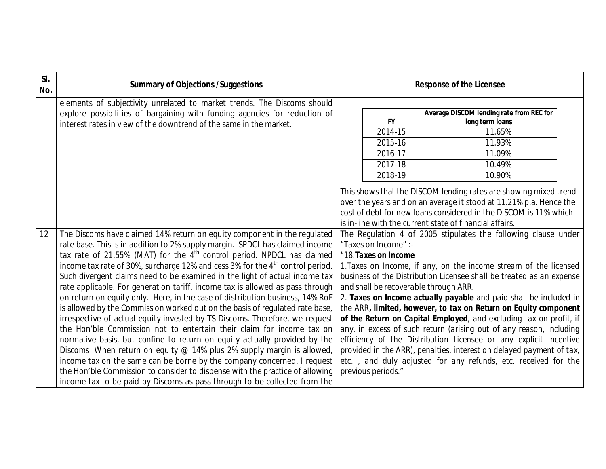| SI.<br>No. | <b>Summary of Objections / Suggestions</b>                                                |                                       | <b>Response of the Licensee</b>                                      |
|------------|-------------------------------------------------------------------------------------------|---------------------------------------|----------------------------------------------------------------------|
|            | elements of subjectivity unrelated to market trends. The Discoms should                   |                                       |                                                                      |
|            | explore possibilities of bargaining with funding agencies for reduction of                |                                       | Average DISCOM lending rate from REC for                             |
|            | interest rates in view of the downtrend of the same in the market.                        | <b>FY</b>                             | long term loans                                                      |
|            |                                                                                           | 2014-15                               | 11.65%                                                               |
|            |                                                                                           | 2015-16                               | 11.93%                                                               |
|            |                                                                                           | 2016-17                               | 11.09%                                                               |
|            |                                                                                           | 2017-18                               | 10.49%                                                               |
|            |                                                                                           | 2018-19                               | 10.90%                                                               |
|            |                                                                                           |                                       | This shows that the DISCOM lending rates are showing mixed trend     |
|            |                                                                                           |                                       | over the years and on an average it stood at 11.21% p.a. Hence the   |
|            |                                                                                           |                                       | cost of debt for new loans considered in the DISCOM is 11% which     |
|            |                                                                                           |                                       | is in-line with the current state of financial affairs.              |
| 12         | The Discoms have claimed 14% return on equity component in the regulated                  |                                       | The Regulation 4 of 2005 stipulates the following clause under       |
|            | rate base. This is in addition to 2% supply margin. SPDCL has claimed income              | "Taxes on Income" :-                  |                                                                      |
|            | tax rate of 21.55% (MAT) for the $4th$ control period. NPDCL has claimed                  | "18. Taxes on Income                  |                                                                      |
|            | income tax rate of 30%, surcharge 12% and cess 3% for the 4 <sup>th</sup> control period. |                                       | 1. Taxes on Income, if any, on the income stream of the licensed     |
|            | Such divergent claims need to be examined in the light of actual income tax               |                                       | business of the Distribution Licensee shall be treated as an expense |
|            | rate applicable. For generation tariff, income tax is allowed as pass through             | and shall be recoverable through ARR. |                                                                      |
|            | on return on equity only. Here, in the case of distribution business, 14% RoE             |                                       | 2. Taxes on Income actually payable and paid shall be included in    |
|            | is allowed by the Commission worked out on the basis of regulated rate base,              |                                       | the ARR, limited, however, to tax on Return on Equity component      |
|            | irrespective of actual equity invested by TS Discoms. Therefore, we request               |                                       | of the Return on Capital Employed, and excluding tax on profit, if   |
|            | the Hon'ble Commission not to entertain their claim for income tax on                     |                                       | any, in excess of such return (arising out of any reason, including  |
|            | normative basis, but confine to return on equity actually provided by the                 |                                       | efficiency of the Distribution Licensee or any explicit incentive    |
|            | Discoms. When return on equity $@$ 14% plus 2% supply margin is allowed,                  |                                       | provided in the ARR), penalties, interest on delayed payment of tax, |
|            | income tax on the same can be borne by the company concerned. I request                   |                                       | etc., and duly adjusted for any refunds, etc. received for the       |
|            | the Hon'ble Commission to consider to dispense with the practice of allowing              | previous periods."                    |                                                                      |
|            | income tax to be paid by Discoms as pass through to be collected from the                 |                                       |                                                                      |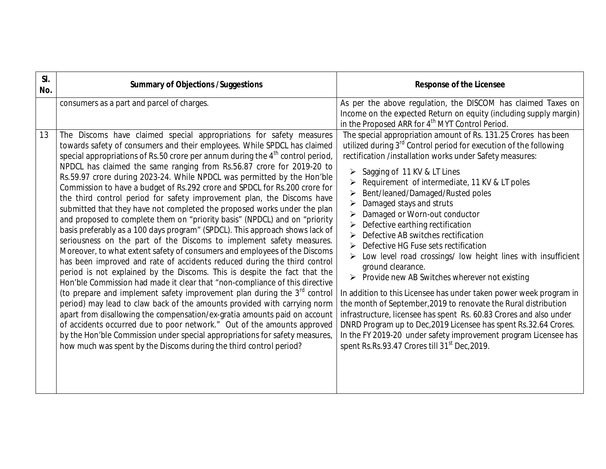| SI.<br>No. | <b>Summary of Objections / Suggestions</b>                                                                                                                                                                                                                                                                                                                                                                                                                                                                                                                                                                                                                                                                                                                                                                                                                                                                                                                                                                                                                                                                                                                                                                                                                                                                                                                                                                                                                                                                                                                                             | <b>Response of the Licensee</b>                                                                                                                                                                                                                                                                                                                                                                                                                                                                                                                                                                                                                                                                                                                                                                                                                                                                                                                                                                                              |
|------------|----------------------------------------------------------------------------------------------------------------------------------------------------------------------------------------------------------------------------------------------------------------------------------------------------------------------------------------------------------------------------------------------------------------------------------------------------------------------------------------------------------------------------------------------------------------------------------------------------------------------------------------------------------------------------------------------------------------------------------------------------------------------------------------------------------------------------------------------------------------------------------------------------------------------------------------------------------------------------------------------------------------------------------------------------------------------------------------------------------------------------------------------------------------------------------------------------------------------------------------------------------------------------------------------------------------------------------------------------------------------------------------------------------------------------------------------------------------------------------------------------------------------------------------------------------------------------------------|------------------------------------------------------------------------------------------------------------------------------------------------------------------------------------------------------------------------------------------------------------------------------------------------------------------------------------------------------------------------------------------------------------------------------------------------------------------------------------------------------------------------------------------------------------------------------------------------------------------------------------------------------------------------------------------------------------------------------------------------------------------------------------------------------------------------------------------------------------------------------------------------------------------------------------------------------------------------------------------------------------------------------|
| 13         | consumers as a part and parcel of charges.<br>The Discoms have claimed special appropriations for safety measures                                                                                                                                                                                                                                                                                                                                                                                                                                                                                                                                                                                                                                                                                                                                                                                                                                                                                                                                                                                                                                                                                                                                                                                                                                                                                                                                                                                                                                                                      | As per the above regulation, the DISCOM has claimed Taxes on<br>Income on the expected Return on equity (including supply margin)<br>in the Proposed ARR for 4 <sup>th</sup> MYT Control Period.<br>The special appropriation amount of Rs. 131.25 Crores has been                                                                                                                                                                                                                                                                                                                                                                                                                                                                                                                                                                                                                                                                                                                                                           |
|            | towards safety of consumers and their employees. While SPDCL has claimed<br>special appropriations of Rs.50 crore per annum during the $4th$ control period,<br>NPDCL has claimed the same ranging from Rs.56.87 crore for 2019-20 to<br>Rs.59.97 crore during 2023-24. While NPDCL was permitted by the Hon'ble<br>Commission to have a budget of Rs.292 crore and SPDCL for Rs.200 crore for<br>the third control period for safety improvement plan, the Discoms have<br>submitted that they have not completed the proposed works under the plan<br>and proposed to complete them on "priority basis" (NPDCL) and on "priority<br>basis preferably as a 100 days program" (SPDCL). This approach shows lack of<br>seriousness on the part of the Discoms to implement safety measures.<br>Moreover, to what extent safety of consumers and employees of the Discoms<br>has been improved and rate of accidents reduced during the third control<br>period is not explained by the Discoms. This is despite the fact that the<br>Hon'ble Commission had made it clear that "non-compliance of this directive<br>(to prepare and implement safety improvement plan during the $3rd$ control<br>period) may lead to claw back of the amounts provided with carrying norm<br>apart from disallowing the compensation/ex-gratia amounts paid on account<br>of accidents occurred due to poor network." Out of the amounts approved<br>by the Hon'ble Commission under special appropriations for safety measures,<br>how much was spent by the Discoms during the third control period? | utilized during 3 <sup>rd</sup> Control period for execution of the following<br>rectification /installation works under Safety measures:<br>Sagging of 11 KV & LT Lines<br>➤<br>Requirement of intermediate, 11 KV & LT poles<br>Bent/leaned/Damaged/Rusted poles<br>Damaged stays and struts<br>Damaged or Worn-out conductor<br>Defective earthing rectification<br>Defective AB switches rectification<br>Defective HG Fuse sets rectification<br>Low level road crossings/ low height lines with insufficient<br>ground clearance.<br>$\triangleright$ Provide new AB Switches wherever not existing<br>In addition to this Licensee has under taken power week program in<br>the month of September, 2019 to renovate the Rural distribution<br>infrastructure, licensee has spent Rs. 60.83 Crores and also under<br>DNRD Program up to Dec, 2019 Licensee has spent Rs.32.64 Crores.<br>In the FY 2019-20 under safety improvement program Licensee has<br>spent Rs.Rs.93.47 Crores till 31 <sup>st</sup> Dec, 2019. |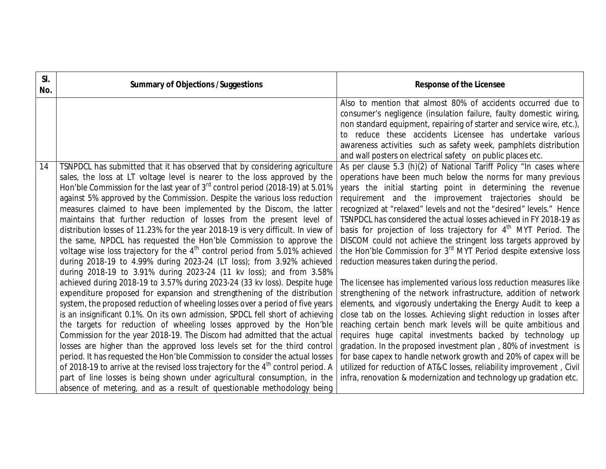| SI.<br>No. | <b>Summary of Objections / Suggestions</b>                                                                                                                                                                                                                                                                                                                                                                                                                                                                                                                                                                                                                                                                                                                                                                                                                                                                                                                                                                                                                                                                                                                                                                                                                                                 | <b>Response of the Licensee</b>                                                                                                                                                                                                                                                                                                                                                                                                                                                                                                                                                                                                                                                                                                                                                                                                                                                                                                                                                                                                               |
|------------|--------------------------------------------------------------------------------------------------------------------------------------------------------------------------------------------------------------------------------------------------------------------------------------------------------------------------------------------------------------------------------------------------------------------------------------------------------------------------------------------------------------------------------------------------------------------------------------------------------------------------------------------------------------------------------------------------------------------------------------------------------------------------------------------------------------------------------------------------------------------------------------------------------------------------------------------------------------------------------------------------------------------------------------------------------------------------------------------------------------------------------------------------------------------------------------------------------------------------------------------------------------------------------------------|-----------------------------------------------------------------------------------------------------------------------------------------------------------------------------------------------------------------------------------------------------------------------------------------------------------------------------------------------------------------------------------------------------------------------------------------------------------------------------------------------------------------------------------------------------------------------------------------------------------------------------------------------------------------------------------------------------------------------------------------------------------------------------------------------------------------------------------------------------------------------------------------------------------------------------------------------------------------------------------------------------------------------------------------------|
|            |                                                                                                                                                                                                                                                                                                                                                                                                                                                                                                                                                                                                                                                                                                                                                                                                                                                                                                                                                                                                                                                                                                                                                                                                                                                                                            | Also to mention that almost 80% of accidents occurred due to<br>consumer's negligence (insulation failure, faulty domestic wiring,<br>non standard equipment, repairing of starter and service wire, etc.),<br>to reduce these accidents Licensee has undertake various<br>awareness activities such as safety week, pamphlets distribution<br>and wall posters on electrical safety on public places etc.                                                                                                                                                                                                                                                                                                                                                                                                                                                                                                                                                                                                                                    |
| 14         | TSNPDCL has submitted that it has observed that by considering agriculture<br>sales, the loss at LT voltage level is nearer to the loss approved by the<br>Hon'ble Commission for the last year of 3 <sup>rd</sup> control period (2018-19) at 5.01%<br>against 5% approved by the Commission. Despite the various loss reduction<br>measures claimed to have been implemented by the Discom, the latter<br>maintains that further reduction of losses from the present level of<br>distribution losses of 11.23% for the year 2018-19 is very difficult. In view of<br>the same, NPDCL has requested the Hon'ble Commission to approve the<br>voltage wise loss trajectory for the 4 <sup>th</sup> control period from 5.01% achieved<br>during 2018-19 to 4.99% during 2023-24 (LT loss); from 3.92% achieved<br>during 2018-19 to 3.91% during 2023-24 (11 kv loss); and from 3.58%<br>achieved during 2018-19 to 3.57% during 2023-24 (33 kv loss). Despite huge<br>expenditure proposed for expansion and strengthening of the distribution<br>system, the proposed reduction of wheeling losses over a period of five years<br>is an insignificant 0.1%. On its own admission, SPDCL fell short of achieving<br>the targets for reduction of wheeling losses approved by the Hon'ble | As per clause 5.3 (h)(2) of National Tariff Policy "In cases where<br>operations have been much below the norms for many previous<br>years the initial starting point in determining the revenue<br>requirement and the improvement trajectories should be<br>recognized at "relaxed" levels and not the "desired" levels." Hence<br>TSNPDCL has considered the actual losses achieved in FY 2018-19 as<br>basis for projection of loss trajectory for 4 <sup>th</sup> MYT Period. The<br>DISCOM could not achieve the stringent loss targets approved by<br>the Hon'ble Commission for 3 <sup>rd</sup> MYT Period despite extensive loss<br>reduction measures taken during the period.<br>The licensee has implemented various loss reduction measures like<br>strengthening of the network infrastructure, addition of network<br>elements, and vigorously undertaking the Energy Audit to keep a<br>close tab on the losses. Achieving slight reduction in losses after<br>reaching certain bench mark levels will be quite ambitious and |
|            | Commission for the year 2018-19. The Discom had admitted that the actual<br>losses are higher than the approved loss levels set for the third control<br>period. It has requested the Hon'ble Commission to consider the actual losses<br>of 2018-19 to arrive at the revised loss trajectory for the 4 <sup>th</sup> control period. A<br>part of line losses is being shown under agricultural consumption, in the<br>absence of metering, and as a result of questionable methodology being                                                                                                                                                                                                                                                                                                                                                                                                                                                                                                                                                                                                                                                                                                                                                                                             | requires huge capital investments backed by technology up<br>gradation. In the proposed investment plan, 80% of investment is<br>for base capex to handle network growth and 20% of capex will be<br>utilized for reduction of AT&C losses, reliability improvement, Civil<br>infra, renovation & modernization and technology up gradation etc.                                                                                                                                                                                                                                                                                                                                                                                                                                                                                                                                                                                                                                                                                              |